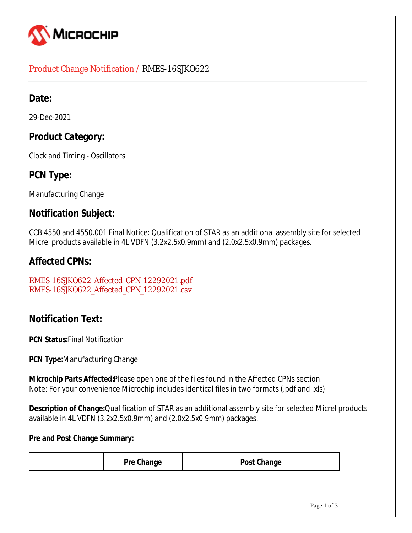

### Product Change Notification / RMES-16SJKO622

# **Date:**

29-Dec-2021

# **Product Category:**

Clock and Timing - Oscillators

# **PCN Type:**

Manufacturing Change

## **Notification Subject:**

CCB 4550 and 4550.001 Final Notice: Qualification of STAR as an additional assembly site for selected Micrel products available in 4L VDFN (3.2x2.5x0.9mm) and (2.0x2.5x0.9mm) packages.

## **Affected CPNs:**

RMES-16SJKO622\_Affected\_CPN\_12292021.pdf RMES-16SJKO622\_Affected\_CPN\_12292021.csv

# **Notification Text:**

**PCN Status:**Final Notification

**PCN Type:**Manufacturing Change

**Microchip Parts Affected:**Please open one of the files found in the Affected CPNs section. Note: For your convenience Microchip includes identical files in two formats (.pdf and .xls)

**Description of Change:**Qualification of STAR as an additional assembly site for selected Micrel products available in 4L VDFN (3.2x2.5x0.9mm) and (2.0x2.5x0.9mm) packages.

#### **Pre and Post Change Summary:**

| <b>Pre Change</b> | <b>Post Change</b> |            |
|-------------------|--------------------|------------|
|                   |                    |            |
|                   |                    | Dao 1 of 2 |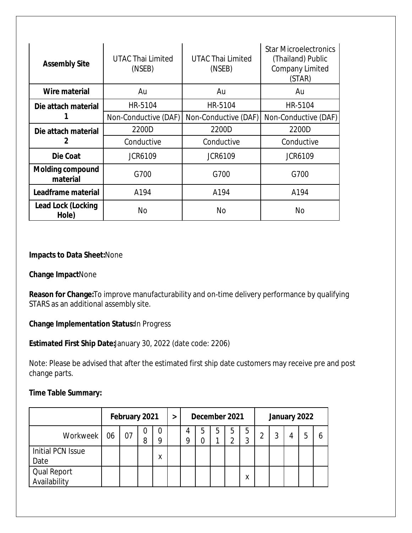| <b>Assembly Site</b>                | <b>UTAC Thai Limited</b><br>(NSEB) | <b>UTAC Thai Limited</b><br>(NSEB) | <b>Star Microelectronics</b><br>(Thailand) Public<br><b>Company Limited</b><br>(STAR) |  |  |
|-------------------------------------|------------------------------------|------------------------------------|---------------------------------------------------------------------------------------|--|--|
| Wire material                       | Au                                 | Au                                 | Au                                                                                    |  |  |
| HR-5104<br>Die attach material      |                                    | HR-5104                            | HR-5104                                                                               |  |  |
|                                     | Non-Conductive (DAF)               | Non-Conductive (DAF)               |                                                                                       |  |  |
| Die attach material                 | 2200D                              | 2200D                              | 2200D                                                                                 |  |  |
|                                     | Conductive                         | Conductive                         | Conductive                                                                            |  |  |
| Die Coat                            | <b>JCR6109</b>                     | <b>JCR6109</b>                     | <b>JCR6109</b>                                                                        |  |  |
| <b>Molding compound</b><br>material | G700                               | G700                               | G700                                                                                  |  |  |
| Leadframe material                  | A194                               | A194                               | A194                                                                                  |  |  |
| Lead Lock (Locking<br>Hole)         | No                                 | <b>No</b>                          | No                                                                                    |  |  |

#### **Impacts to Data Sheet:**None

#### **Change Impact**None

**Reason for Change:**To improve manufacturability and on-time delivery performance by qualifying STARS as an additional assembly site.

#### **Change Implementation Status:**In Progress

#### **Estimated First Ship Date:**January 30, 2022 (date code: 2206)

Note: Please be advised that after the estimated first ship date customers may receive pre and post change parts.

#### **Time Table Summary:**

|                                    | February 2021 |    |        | > | December 2021 |   |   | January 2022 |   |        |   |   |  |  |   |
|------------------------------------|---------------|----|--------|---|---------------|---|---|--------------|---|--------|---|---|--|--|---|
| Workweek                           | 06            | 07 | O<br>8 |   |               | 4 | 5 | ხ            | b | 5<br>3 | ⌒ | っ |  |  | h |
| Initial PCN Issue<br>Date          |               |    |        | Λ |               |   |   |              |   |        |   |   |  |  |   |
| <b>Qual Report</b><br>Availability |               |    |        |   |               |   |   |              |   | Χ      |   |   |  |  |   |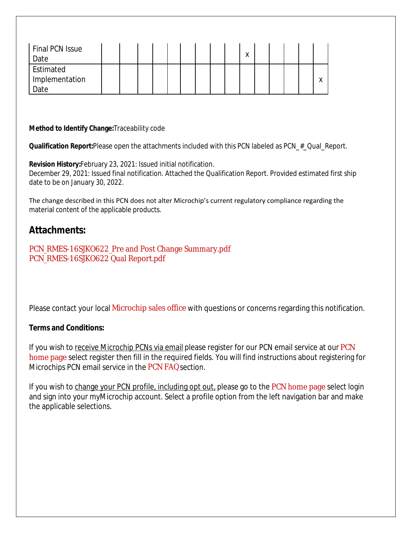| Final PCN Issue<br>Date               |  |  |  |  | $\checkmark$<br>Λ |  |  |                   |
|---------------------------------------|--|--|--|--|-------------------|--|--|-------------------|
| Estimated<br>' Implementation<br>Date |  |  |  |  |                   |  |  | $\checkmark$<br>⋏ |

#### **Method to Identify Change:**Traceability code

**Qualification Report:**Please open the attachments included with this PCN labeled as PCN\_#\_Qual\_Report.

**Revision History:**February 23, 2021: Issued initial notification. December 29, 2021: Issued final notification. Attached the Qualification Report. Provided estimated first ship date to be on January 30, 2022.

The change described in this PCN does not alter Microchip's current regulatory compliance regarding the material content of the applicable products.

### **Attachments:**

PCN\_RMES-16SJKO622\_Pre and Post Change Summary.pdf PCN\_RMES-16SJKO622 Qual Report.pdf

Please contact your local Microchip sales office with questions or concerns regarding this notification.

#### **Terms and Conditions:**

If you wish to receive Microchip PCNs via email please register for our PCN email service at our PCN home page select register then fill in the required fields. You will find instructions about registering for Microchips PCN email service in the PCN FAQ section.

If you wish to change your PCN profile, including opt out, please go to the PCN home page select login and sign into your myMicrochip account. Select a profile option from the left navigation bar and make the applicable selections.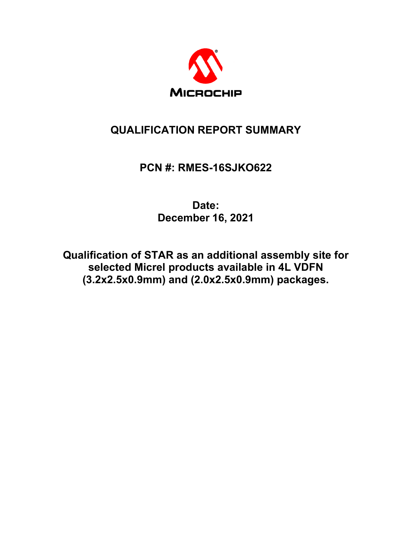

# **QUALIFICATION REPORT SUMMARY**

# **PCN #: RMES-16SJKO622**

**Date: December 16, 2021**

**Qualification of STAR as an additional assembly site for selected Micrel products available in 4L VDFN (3.2x2.5x0.9mm) and (2.0x2.5x0.9mm) packages.**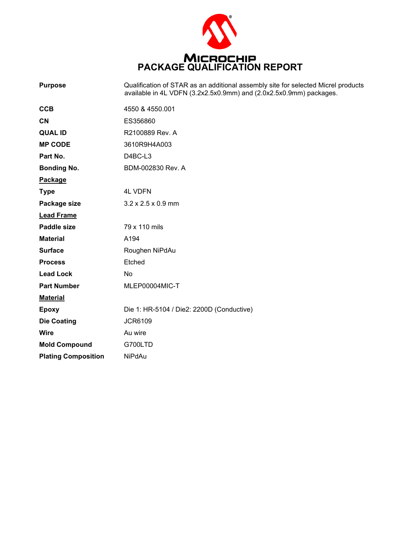

| <b>Purpose</b>             | Qualification of STAR as an additional assembly site for selected Micrel products<br>available in 4L VDFN (3.2x2.5x0.9mm) and (2.0x2.5x0.9mm) packages. |
|----------------------------|---------------------------------------------------------------------------------------------------------------------------------------------------------|
| <b>CCB</b>                 | 4550 & 4550.001                                                                                                                                         |
| <b>CN</b>                  | ES356860                                                                                                                                                |
| <b>QUAL ID</b>             | R2100889 Rev. A                                                                                                                                         |
| <b>MP CODE</b>             | 3610R9H4A003                                                                                                                                            |
| Part No.                   | D4BC-L3                                                                                                                                                 |
| <b>Bonding No.</b>         | BDM-002830 Rev. A                                                                                                                                       |
| Package                    |                                                                                                                                                         |
| <b>Type</b>                | <b>4L VDFN</b>                                                                                                                                          |
| Package size               | $3.2 \times 2.5 \times 0.9$ mm                                                                                                                          |
| <b>Lead Frame</b>          |                                                                                                                                                         |
| <b>Paddle size</b>         | 79 x 110 mils                                                                                                                                           |
| <b>Material</b>            | A194                                                                                                                                                    |
| <b>Surface</b>             | Roughen NiPdAu                                                                                                                                          |
| <b>Process</b>             | Etched                                                                                                                                                  |
| <b>Lead Lock</b>           | No                                                                                                                                                      |
| <b>Part Number</b>         | MLEP00004MIC-T                                                                                                                                          |
| <b>Material</b>            |                                                                                                                                                         |
| <b>Epoxy</b>               | Die 1: HR-5104 / Die2: 2200D (Conductive)                                                                                                               |
| <b>Die Coating</b>         | <b>JCR6109</b>                                                                                                                                          |
| Wire                       | Au wire                                                                                                                                                 |
| <b>Mold Compound</b>       | G700LTD                                                                                                                                                 |
| <b>Plating Composition</b> | <b>NiPdAu</b>                                                                                                                                           |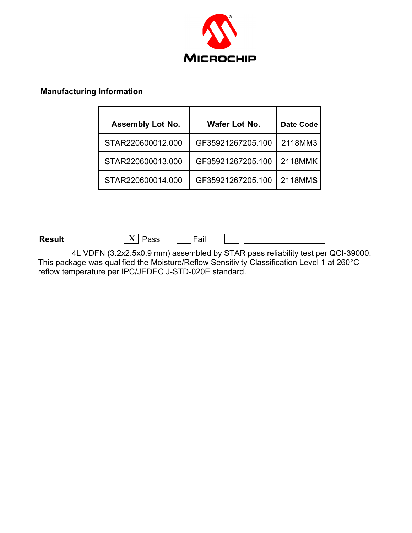

#### **Manufacturing Information**

| <b>Assembly Lot No.</b> | Wafer Lot No.     | <b>Date Code</b> |
|-------------------------|-------------------|------------------|
| STAR220600012.000       | GF35921267205.100 | 2118MM3          |
| STAR220600013.000       | GF35921267205.100 | 2118MMK          |
| STAR220600014.000       | GF35921267205.100 | 2118MMS          |

**Result**  $\boxed{\text{X}}$  Pass  $\boxed{\text{Fail}}$ 

4L VDFN (3.2x2.5x0.9 mm) assembled by STAR pass reliability test per QCI-39000. This package was qualified the Moisture/Reflow Sensitivity Classification Level 1 at 260°C reflow temperature per IPC/JEDEC J-STD-020E standard.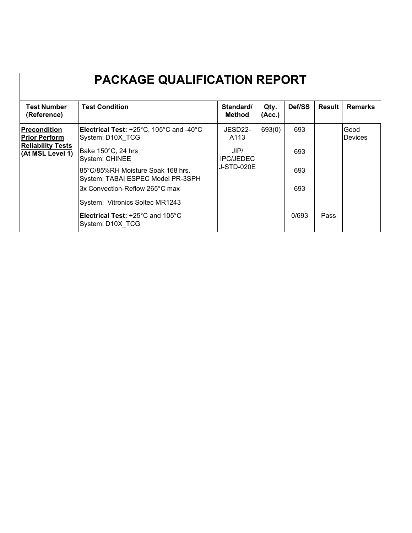|                                                                        | <b>PACKAGE QUALIFICATION REPORT</b>                                                                |                          |                |        |        |                        |
|------------------------------------------------------------------------|----------------------------------------------------------------------------------------------------|--------------------------|----------------|--------|--------|------------------------|
| <b>Test Number</b><br>(Reference)                                      | <b>Test Condition</b>                                                                              | Standard/<br>Method      | Qty.<br>(Acc.) | Def/SS | Result | <b>Remarks</b>         |
| <b>Precondition</b><br><b>Prior Perform</b>                            | <b>Electrical Test:</b> $+25^{\circ}$ C, 105 $^{\circ}$ C and -40 $^{\circ}$ C<br>System: D10X TCG | JESD22-<br>A113          | 693(0)         | 693    |        | Good<br><b>Devices</b> |
| <b>Reliability Tests</b><br>(At MSL Level 1)                           | Bake 150°C, 24 hrs<br>System: CHINEE                                                               | JIP/<br><b>IPC/JEDEC</b> |                | 693    |        |                        |
| 85°C/85%RH Moisture Soak 168 hrs.<br>System: TABAI ESPEC Model PR-3SPH |                                                                                                    | J-STD-020E               |                | 693    |        |                        |
|                                                                        | 3x Convection-Reflow 265°C max                                                                     |                          |                | 693    |        |                        |
|                                                                        | System: Vitronics Soltec MR1243                                                                    |                          |                |        |        |                        |
|                                                                        | <b>Electrical Test: +25 °C and 105 °C</b><br>System: D10X TCG                                      |                          |                | 0/693  | Pass   |                        |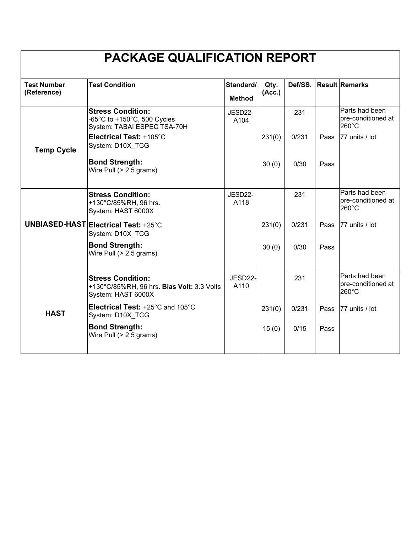|                                   | <b>PACKAGE QUALIFICATION REPORT</b>                                                          |                            |                |       |      |                                               |
|-----------------------------------|----------------------------------------------------------------------------------------------|----------------------------|----------------|-------|------|-----------------------------------------------|
| <b>Test Number</b><br>(Reference) | <b>Test Condition</b>                                                                        | Standard/<br><b>Method</b> | Qty.<br>(Acc.) |       |      | Def/SS. Result Remarks                        |
|                                   | <b>Stress Condition:</b><br>-65°C to +150°C, 500 Cycles<br>System: TABAI ESPEC TSA-70H       | JESD22-<br>A104            |                | 231   |      | Parts had been<br>pre-conditioned at<br>260°C |
| <b>Temp Cycle</b>                 | Electrical Test: +105°C<br>System: D10X TCG                                                  |                            | 231(0)         | 0/231 | Pass | 77 units / lot                                |
|                                   | <b>Bond Strength:</b><br>Wire Pull (> 2.5 grams)                                             |                            | 30(0)          | 0/30  | Pass |                                               |
|                                   | <b>Stress Condition:</b><br>+130°C/85%RH, 96 hrs.<br>System: HAST 6000X                      | JESD22-<br>A118            |                | 231   |      | Parts had been<br>pre-conditioned at<br>260°C |
|                                   | <b>UNBIASED-HAST Electrical Test: +25°C</b><br>System: D10X_TCG                              |                            | 231(0)         | 0/231 | Pass | 77 units / lot                                |
|                                   | <b>Bond Strength:</b><br>Wire Pull (> 2.5 grams)                                             |                            | 30(0)          | 0/30  | Pass |                                               |
|                                   | <b>Stress Condition:</b><br>+130°C/85%RH, 96 hrs. Bias Volt: 3.3 Volts<br>System: HAST 6000X | JESD22-<br>A110            |                | 231   |      | Parts had been<br>pre-conditioned at<br>260°C |
| <b>HAST</b>                       | Electrical Test: +25°C and 105°C<br>System: D10X_TCG                                         |                            | 231(0)         | 0/231 | Pass | 77 units / lot                                |
|                                   | <b>Bond Strength:</b><br>Wire Pull (> 2.5 grams)                                             |                            | 15(0)          | 0/15  | Pass |                                               |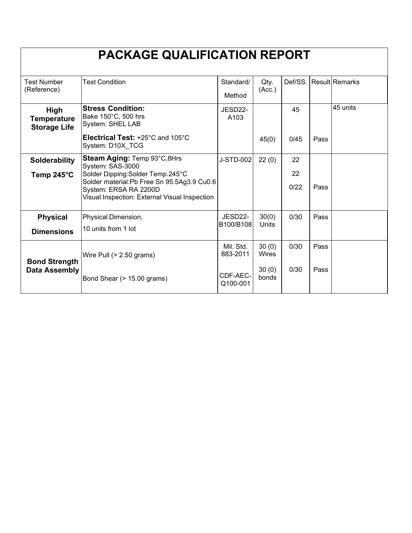|                                                   | <b>PACKAGE QUALIFICATION REPORT</b>                                                                                                                         |                       |                |            |      |                        |
|---------------------------------------------------|-------------------------------------------------------------------------------------------------------------------------------------------------------------|-----------------------|----------------|------------|------|------------------------|
| <b>Test Number</b><br>(Reference)                 | <b>Test Condition</b>                                                                                                                                       | Standard/<br>Method   | Qty.<br>(Acc.) |            |      | Def/SS. Result Remarks |
| High<br><b>Temperature</b><br><b>Storage Life</b> | <b>Stress Condition:</b><br>Bake 150°C, 500 hrs<br>System: SHEL LAB                                                                                         | JESD22-<br>A103       |                | 45         |      | 45 units               |
|                                                   | Electrical Test: +25°C and 105°C<br>System: D10X TCG                                                                                                        |                       | 45(0)          | 0/45       | Pass |                        |
| Solderability                                     | Steam Aging: Temp 93°C,8Hrs<br>System: SAS-3000                                                                                                             | J-STD-002             | 22(0)          | 22         |      |                        |
| Temp 245°C                                        | Solder Dipping: Solder Temp. 245°C<br>Solder material: Pb Free Sn 95.5Ag3.9 Cu0.6<br>System: ERSA RA 2200D<br>Visual Inspection: External Visual Inspection |                       |                | 22<br>0/22 | Pass |                        |
| <b>Physical</b>                                   | Physical Dimension,                                                                                                                                         | JESD22-<br>B100/B108  | 30(0)<br>Units | 0/30       | Pass |                        |
| <b>Dimensions</b>                                 | 10 units from 1 lot                                                                                                                                         |                       |                |            |      |                        |
| <b>Bond Strength</b>                              | Wire Pull $(> 2.50$ grams)                                                                                                                                  | Mil. Std.<br>883-2011 | 30(0)<br>Wires | 0/30       | Pass |                        |
| <b>Data Assembly</b>                              | Bond Shear (> 15.00 grams)                                                                                                                                  | CDF-AEC-<br>Q100-001  | 30(0)<br>bonds | 0/30       | Pass |                        |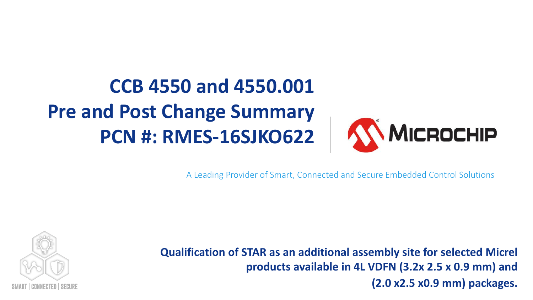# **CCB 4550 and 4550.001 Pre and Post Change Summary PCN #: RMES-16SJKO622**



A Leading Provider of Smart, Connected and Secure Embedded Control Solutions



**Qualification of STAR as an additional assembly site for selected Micrel products available in 4L VDFN (3.2x 2.5 x 0.9 mm) and (2.0 x2.5 x0.9 mm) packages.**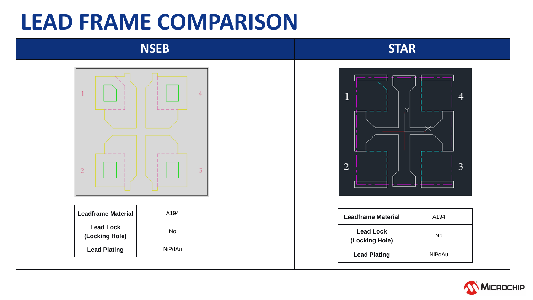# **LEAD FRAME COMPARISON**

# **NSEB STAR**



| <b>Leadframe Material</b>          | A194   |
|------------------------------------|--------|
| <b>Lead Lock</b><br>(Locking Hole) | N٥     |
| <b>Lead Plating</b>                | NiPdAu |



| Leadframe Material                 | A194   |
|------------------------------------|--------|
| <b>Lead Lock</b><br>(Locking Hole) | N٥     |
| <b>Lead Plating</b>                | NiPdAu |
|                                    |        |

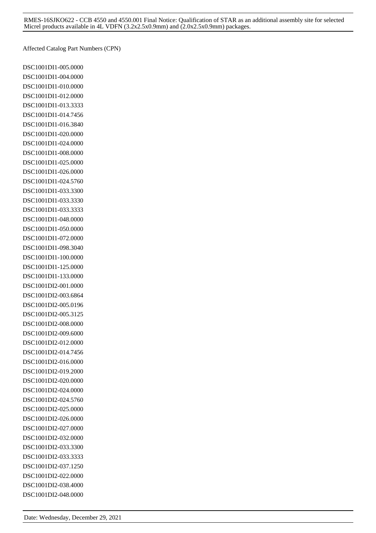Affected Catalog Part Numbers (CPN)

DSC1001DI1-005.0000 DSC1001DI1-004.0000 DSC1001DI1-010.0000 DSC1001DI1-012.0000 DSC1001DI1-013.3333 DSC1001DI1-014.7456 DSC1001DI1-016.3840 DSC1001DI1-020.0000 DSC1001DI1-024.0000 DSC1001DI1-008.0000 DSC1001DI1-025.0000 DSC1001DI1-026.0000 DSC1001DI1-024.5760 DSC1001DI1-033.3300 DSC1001DI1-033.3330 DSC1001DI1-033.3333 DSC1001DI1-048.0000 DSC1001DI1-050.0000 DSC1001DI1-072.0000 DSC1001DI1-098.3040 DSC1001DI1-100.0000 DSC1001DI1-125.0000 DSC1001DI1-133.0000 DSC1001DI2-001.0000 DSC1001DI2-003.6864 DSC1001DI2-005.0196 DSC1001DI2-005.3125 DSC1001DI2-008.0000 DSC1001DI2-009.6000 DSC1001DI2-012.0000 DSC1001DI2-014.7456 DSC1001DI2-016.0000 DSC1001DI2-019.2000 DSC1001DI2-020.0000 DSC1001DI2-024.0000 DSC1001DI2-024.5760 DSC1001DI2-025.0000 DSC1001DI2-026.0000 DSC1001DI2-027.0000 DSC1001DI2-032.0000 DSC1001DI2-033.3300 DSC1001DI2-033.3333 DSC1001DI2-037.1250 DSC1001DI2-022.0000 DSC1001DI2-038.4000 DSC1001DI2-048.0000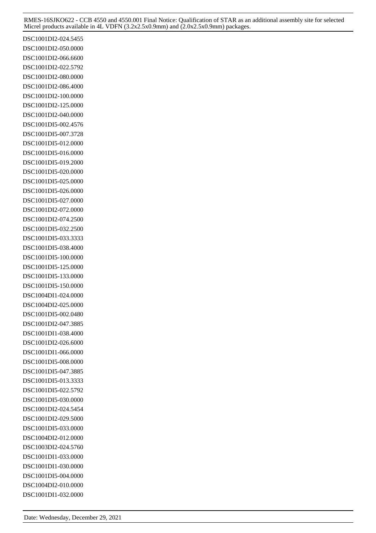DSC1001DI2-024.5455 DSC1001DI2-050.0000 DSC1001DI2-066.6600 DSC1001DI2-022.5792 DSC1001DI2-080.0000 DSC1001DI2-086.4000 DSC1001DI2-100.0000 DSC1001DI2-125.0000 DSC1001DI2-040.0000 DSC1001DI5-002.4576 DSC1001DI5-007.3728 DSC1001DI5-012.0000 DSC1001DI5-016.0000 DSC1001DI5-019.2000 DSC1001DI5-020.0000 DSC1001DI5-025.0000 DSC1001DI5-026.0000 DSC1001DI5-027.0000 DSC1001DI2-072.0000 DSC1001DI2-074.2500 DSC1001DI5-032.2500 DSC1001DI5-033.3333 DSC1001DI5-038.4000 DSC1001DI5-100.0000 DSC1001DI5-125.0000 DSC1001DI5-133.0000 DSC1001DI5-150.0000 DSC1004DI1-024.0000 DSC1004DI2-025.0000 DSC1001DI5-002.0480 DSC1001DI2-047.3885 DSC1001DI1-038.4000 DSC1001DI2-026.6000 DSC1001DI1-066.0000 DSC1001DI5-008.0000 DSC1001DI5-047.3885 DSC1001DI5-013.3333 DSC1001DI5-022.5792 DSC1001DI5-030.0000 DSC1001DI2-024.5454 DSC1001DI2-029.5000 DSC1001DI5-033.0000 DSC1004DI2-012.0000 DSC1003DI2-024.5760 DSC1001DI1-033.0000 DSC1001DI1-030.0000 DSC1001DI5-004.0000 DSC1004DI2-010.0000 DSC1001DI1-032.0000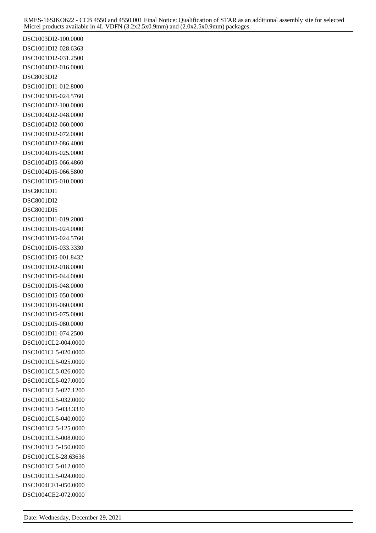DSC1003DI2-100.0000 DSC1001DI2-028.6363 DSC1001DI2-031.2500 DSC1004DI2-016.0000 DSC8003DI2 DSC1001DI1-012.8000 DSC1003DI5-024.5760 DSC1004DI2-100.0000 DSC1004DI2-048.0000 DSC1004DI2-060.0000 DSC1004DI2-072.0000 DSC1004DI2-086.4000 DSC1004DI5-025.0000 DSC1004DI5-066.4860 DSC1004DI5-066.5800 DSC1001DI5-010.0000 DSC8001DI1 DSC8001DI2 DSC8001DI5 DSC1001DI1-019.2000 DSC1001DI5-024.0000 DSC1001DI5-024.5760 DSC1001DI5-033.3330 DSC1001DI5-001.8432 DSC1001DI2-018.0000 DSC1001DI5-044.0000 DSC1001DI5-048.0000 DSC1001DI5-050.0000 DSC1001DI5-060.0000 DSC1001DI5-075.0000 DSC1001DI5-080.0000 DSC1001DI1-074.2500 DSC1001CL2-004.0000 DSC1001CL5-020.0000 DSC1001CL5-025.0000 DSC1001CL5-026.0000 DSC1001CL5-027.0000 DSC1001CL5-027.1200 DSC1001CL5-032.0000 DSC1001CL5-033.3330 DSC1001CL5-040.0000 DSC1001CL5-125.0000 DSC1001CL5-008.0000 DSC1001CL5-150.0000 DSC1001CL5-28.63636 DSC1001CL5-012.0000 DSC1001CL5-024.0000 DSC1004CE1-050.0000 DSC1004CE2-072.0000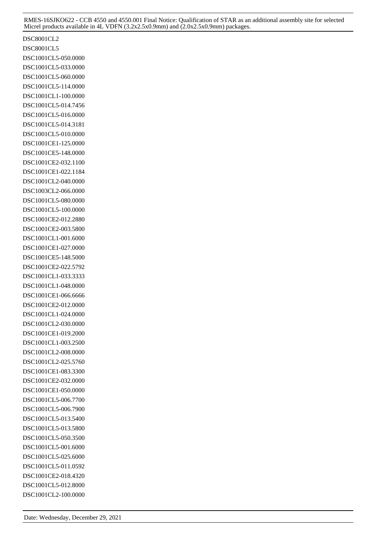DSC8001CL2 DSC8001CL5 DSC1001CL5-050.0000 DSC1001CL5-033.0000 DSC1001CL5-060.0000 DSC1001CL5-114.0000 DSC1001CL1-100.0000 DSC1001CL5-014.7456 DSC1001CL5-016.0000 DSC1001CL5-014.3181 DSC1001CL5-010.0000 DSC1001CE1-125.0000 DSC1001CE5-148.0000 DSC1001CE2-032.1100 DSC1001CE1-022.1184 DSC1001CL2-040.0000 DSC1003CL2-066.0000 DSC1001CL5-080.0000 DSC1001CL5-100.0000 DSC1001CE2-012.2880 DSC1001CE2-003.5800 DSC1001CL1-001.6000 DSC1001CE1-027.0000 DSC1001CE5-148.5000 DSC1001CE2-022.5792 DSC1001CL1-033.3333 DSC1001CL1-048.0000 DSC1001CE1-066.6666 DSC1001CE2-012.0000 DSC1001CL1-024.0000 DSC1001CL2-030.0000 DSC1001CE1-019.2000 DSC1001CL1-003.2500 DSC1001CL2-008.0000 DSC1001CL2-025.5760 DSC1001CE1-083.3300 DSC1001CE2-032.0000 DSC1001CE1-050.0000 DSC1001CL5-006.7700 DSC1001CL5-006.7900 DSC1001CL5-013.5400 DSC1001CL5-013.5800 DSC1001CL5-050.3500 DSC1001CL5-001.6000 DSC1001CL5-025.6000 DSC1001CL5-011.0592 DSC1001CE2-018.4320 DSC1001CL5-012.8000 DSC1001CL2-100.0000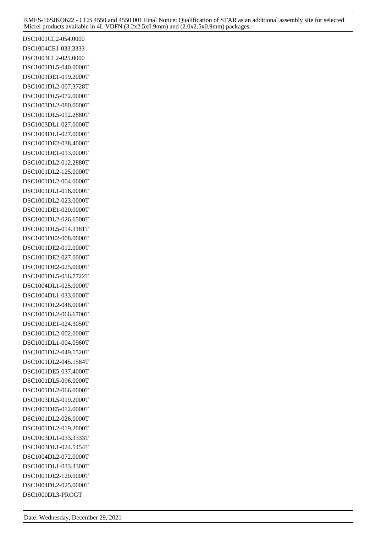DSC1001CL2-054.0000 DSC1004CE1-033.3333 DSC1003CL2-025.0000 DSC1001DL5-040.0000T DSC1001DE1-019.2000T DSC1001DL2-007.3728T DSC1001DL5-072.0000T DSC1003DL2-080.0000T DSC1001DL5-012.2880T DSC1003DL1-027.0000T DSC1004DL1-027.0000T DSC1001DE2-038.4000T DSC1001DE1-013.0000T DSC1001DL2-012.2880T DSC1001DL2-125.0000T DSC1001DL2-004.0000T DSC1001DL1-016.0000T DSC1001DL2-023.0000T DSC1001DE1-020.0000T DSC1001DL2-026.6500T DSC1001DL5-014.3181T DSC1001DE2-008.0000T DSC1001DE2-012.0000T DSC1001DE2-027.0000T DSC1001DE2-025.0000T DSC1001DL5-016.7722T DSC1004DL1-025.0000T DSC1004DL1-033.0000T DSC1001DL2-048.0000T DSC1001DL2-066.6700T DSC1001DE1-024.3050T DSC1001DL2-002.0000T DSC1001DL1-004.0960T DSC1001DL2-049.1520T DSC1001DL2-045.1584T DSC1001DE5-037.4000T DSC1001DL5-096.0000T DSC1001DL2-066.0000T DSC1003DL5-019.2000T DSC1001DE5-012.0000T DSC1001DL2-026.0000T DSC1001DL2-019.2000T DSC1003DL1-033.3333T DSC1003DL1-024.5454T DSC1004DL2-072.0000T DSC1001DL1-033.3300T DSC1001DE2-120.0000T DSC1004DL2-025.0000T DSC1000DL3-PROGT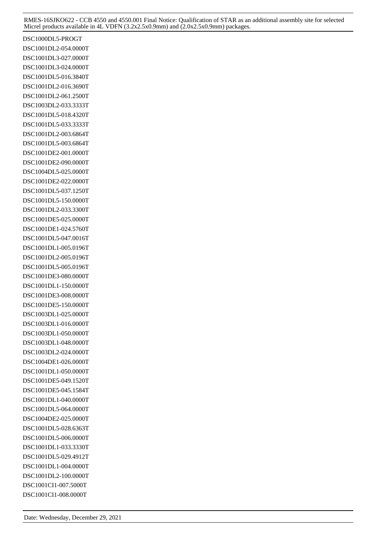DSC1000DL5-PROGT DSC1001DL2-054.0000T DSC1001DL3-027.0000T DSC1001DL3-024.0000T DSC1001DL5-016.3840T DSC1001DL2-016.3690T DSC1001DL2-061.2500T DSC1003DL2-033.3333T DSC1001DL5-018.4320T DSC1001DL5-033.3333T DSC1001DL2-003.6864T DSC1001DL5-003.6864T DSC1001DE2-001.0000T DSC1001DE2-090.0000T DSC1004DL5-025.0000T DSC1001DE2-022.0000T DSC1001DL5-037.1250T DSC1001DL5-150.0000T DSC1001DL2-033.3300T DSC1001DE5-025.0000T DSC1001DE1-024.5760T DSC1001DL5-047.0016T DSC1001DL1-005.0196T DSC1001DL2-005.0196T DSC1001DL5-005.0196T DSC1001DE3-080.0000T DSC1001DL1-150.0000T DSC1001DE3-008.0000T DSC1001DE5-150.0000T DSC1003DL1-025.0000T DSC1003DL1-016.0000T DSC1003DL1-050.0000T DSC1003DL1-048.0000T DSC1003DL2-024.0000T DSC1004DE1-026.0000T DSC1001DL1-050.0000T DSC1001DE5-049.1520T DSC1001DE5-045.1584T DSC1001DL1-040.0000T DSC1001DL5-064.0000T DSC1004DE2-025.0000T DSC1001DL5-028.6363T DSC1001DL5-006.0000T DSC1001DL1-033.3330T DSC1001DL5-029.4912T DSC1001DL1-004.0000T DSC1001DL2-100.0000T DSC1001CI1-007.5000T DSC1001CI1-008.0000T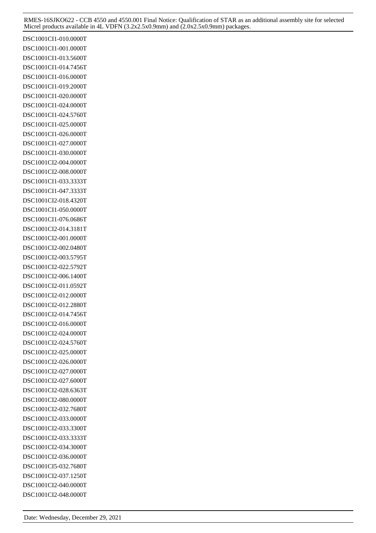DSC1001CI1-010.0000T DSC1001CI1-001.0000T DSC1001CI1-013.5600T DSC1001CI1-014.7456T DSC1001CI1-016.0000T DSC1001CI1-019.2000T DSC1001CI1-020.0000T DSC1001CI1-024.0000T DSC1001CI1-024.5760T DSC1001CI1-025.0000T DSC1001CI1-026.0000T DSC1001CI1-027.0000T DSC1001CI1-030.0000T DSC1001CI2-004.0000T DSC1001CI2-008.0000T DSC1001CI1-033.3333T DSC1001CI1-047.3333T DSC1001CI2-018.4320T DSC1001CI1-050.0000T DSC1001CI1-076.0686T DSC1001CI2-014.3181T DSC1001CI2-001.0000T DSC1001CI2-002.0480T DSC1001CI2-003.5795T DSC1001CI2-022.5792T DSC1001CI2-006.1400T DSC1001CI2-011.0592T DSC1001CI2-012.0000T DSC1001CI2-012.2880T DSC1001CI2-014.7456T DSC1001CI2-016.0000T DSC1001CI2-024.0000T DSC1001CI2-024.5760T DSC1001CI2-025.0000T DSC1001CI2-026.0000T DSC1001CI2-027.0000T DSC1001CI2-027.6000T DSC1001CI2-028.6363T DSC1001CI2-080.0000T DSC1001CI2-032.7680T DSC1001CI2-033.0000T DSC1001CI2-033.3300T DSC1001CI2-033.3333T DSC1001CI2-034.3000T DSC1001CI2-036.0000T DSC1001CI5-032.7680T DSC1001CI2-037.1250T DSC1001CI2-040.0000T DSC1001CI2-048.0000T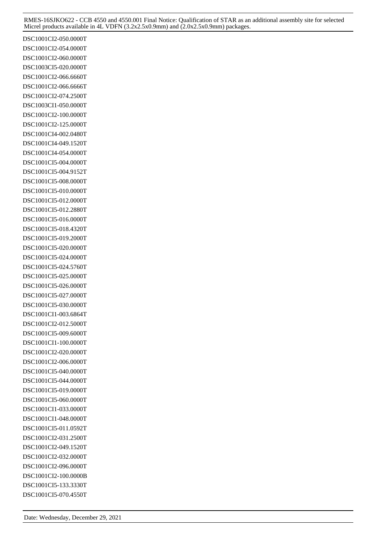DSC1001CI2-050.0000T DSC1001CI2-054.0000T DSC1001CI2-060.0000T DSC1003CI5-020.0000T DSC1001CI2-066.6660T DSC1001CI2-066.6666T DSC1001CI2-074.2500T DSC1003CI1-050.0000T DSC1001CI2-100.0000T DSC1001CI2-125.0000T DSC1001CI4-002.0480T DSC1001CI4-049.1520T DSC1001CI4-054.0000T DSC1001CI5-004.0000T DSC1001CI5-004.9152T DSC1001CI5-008.0000T DSC1001CI5-010.0000T DSC1001CI5-012.0000T DSC1001CI5-012.2880T DSC1001CI5-016.0000T DSC1001CI5-018.4320T DSC1001CI5-019.2000T DSC1001CI5-020.0000T DSC1001CI5-024.0000T DSC1001CI5-024.5760T DSC1001CI5-025.0000T DSC1001CI5-026.0000T DSC1001CI5-027.0000T DSC1001CI5-030.0000T DSC1001CI1-003.6864T DSC1001CI2-012.5000T DSC1001CI5-009.6000T DSC1001CI1-100.0000T DSC1001CI2-020.0000T DSC1001CI2-006.0000T DSC1001CI5-040.0000T DSC1001CI5-044.0000T DSC1001CI5-019.0000T DSC1001CI5-060.0000T DSC1001CI1-033.0000T DSC1001CI1-048.0000T DSC1001CI5-011.0592T DSC1001CI2-031.2500T DSC1001CI2-049.1520T DSC1001CI2-032.0000T DSC1001CI2-096.0000T DSC1001CI2-100.0000B DSC1001CI5-133.3330T DSC1001CI5-070.4550T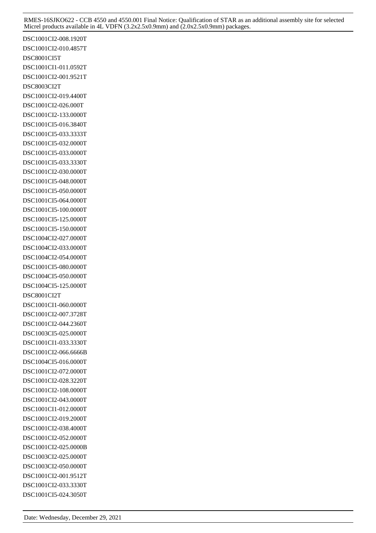DSC1001CI2-008.1920T DSC1001CI2-010.4857T DSC8001CI5T DSC1001CI1-011.0592T DSC1001CI2-001.9521T DSC8003CI2T DSC1001CI2-019.4400T DSC1001CI2-026.000T DSC1001CI2-133.0000T DSC1001CI5-016.3840T DSC1001CI5-033.3333T DSC1001CI5-032.0000T DSC1001CI5-033.0000T DSC1001CI5-033.3330T DSC1001CI2-030.0000T DSC1001CI5-048.0000T DSC1001CI5-050.0000T DSC1001CI5-064.0000T DSC1001CI5-100.0000T DSC1001CI5-125.0000T DSC1001CI5-150.0000T DSC1004CI2-027.0000T DSC1004CI2-033.0000T DSC1004CI2-054.0000T DSC1001CI5-080.0000T DSC1004CI5-050.0000T DSC1004CI5-125.0000T DSC8001CI2T DSC1001CI1-060.0000T DSC1001CI2-007.3728T DSC1001CI2-044.2360T DSC1003CI5-025.0000T DSC1001CI1-033.3330T DSC1001CI2-066.6666B DSC1004CI5-016.0000T DSC1001CI2-072.0000T DSC1001CI2-028.3220T DSC1001CI2-108.0000T DSC1001CI2-043.0000T DSC1001CI1-012.0000T DSC1001CI2-019.2000T DSC1001CI2-038.4000T DSC1001CI2-052.0000T DSC1001CI2-025.0000B DSC1003CI2-025.0000T DSC1003CI2-050.0000T DSC1001CI2-001.9512T DSC1001CI2-033.3330T DSC1001CI5-024.3050T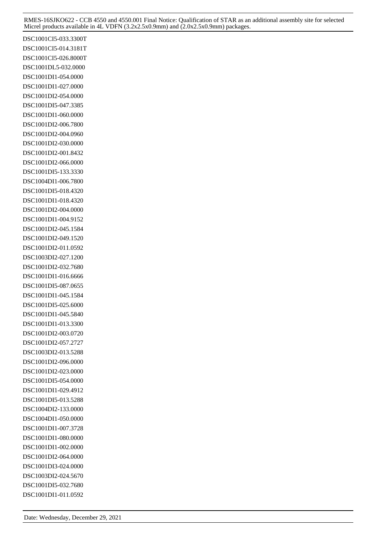DSC1001CI5-033.3300T DSC1001CI5-014.3181T DSC1001CI5-026.8000T DSC1001DL5-032.0000 DSC1001DI1-054.0000 DSC1001DI1-027.0000 DSC1001DI2-054.0000 DSC1001DI5-047.3385 DSC1001DI1-060.0000 DSC1001DI2-006.7800 DSC1001DI2-004.0960 DSC1001DI2-030.0000 DSC1001DI2-001.8432 DSC1001DI2-066.0000 DSC1001DI5-133.3330 DSC1004DI1-006.7800 DSC1001DI5-018.4320 DSC1001DI1-018.4320 DSC1001DI2-004.0000 DSC1001DI1-004.9152 DSC1001DI2-045.1584 DSC1001DI2-049.1520 DSC1001DI2-011.0592 DSC1003DI2-027.1200 DSC1001DI2-032.7680 DSC1001DI1-016.6666 DSC1001DI5-087.0655 DSC1001DI1-045.1584 DSC1001DI5-025.6000 DSC1001DI1-045.5840 DSC1001DI1-013.3300 DSC1001DI2-003.0720 DSC1001DI2-057.2727 DSC1003DI2-013.5288 DSC1001DI2-096.0000 DSC1001DI2-023.0000 DSC1001DI5-054.0000 DSC1001DI1-029.4912 DSC1001DI5-013.5288 DSC1004DI2-133.0000 DSC1004DI1-050.0000 DSC1001DI1-007.3728 DSC1001DI1-080.0000 DSC1001DI1-002.0000 DSC1001DI2-064.0000 DSC1001DI3-024.0000 DSC1003DI2-024.5670 DSC1001DI5-032.7680 DSC1001DI1-011.0592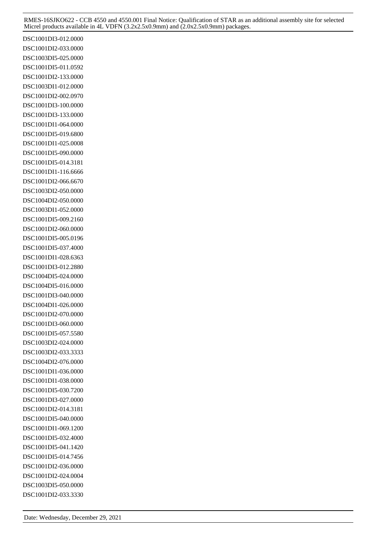DSC1001DI3-012.0000 DSC1001DI2-033.0000 DSC1003DI5-025.0000 DSC1001DI5-011.0592 DSC1001DI2-133.0000 DSC1003DI1-012.0000 DSC1001DI2-002.0970 DSC1001DI3-100.0000 DSC1001DI3-133.0000 DSC1001DI1-064.0000 DSC1001DI5-019.6800 DSC1001DI1-025.0008 DSC1001DI5-090.0000 DSC1001DI5-014.3181 DSC1001DI1-116.6666 DSC1001DI2-066.6670 DSC1003DI2-050.0000 DSC1004DI2-050.0000 DSC1003DI1-052.0000 DSC1001DI5-009.2160 DSC1001DI2-060.0000 DSC1001DI5-005.0196 DSC1001DI5-037.4000 DSC1001DI1-028.6363 DSC1001DI3-012.2880 DSC1004DI5-024.0000 DSC1004DI5-016.0000 DSC1001DI3-040.0000 DSC1004DI1-026.0000 DSC1001DI2-070.0000 DSC1001DI3-060.0000 DSC1001DI5-057.5580 DSC1003DI2-024.0000 DSC1003DI2-033.3333 DSC1004DI2-076.0000 DSC1001DI1-036.0000 DSC1001DI1-038.0000 DSC1001DI5-030.7200 DSC1001DI3-027.0000 DSC1001DI2-014.3181 DSC1001DI5-040.0000 DSC1001DI1-069.1200 DSC1001DI5-032.4000 DSC1001DI5-041.1420 DSC1001DI5-014.7456 DSC1001DI2-036.0000 DSC1001DI2-024.0004 DSC1003DI5-050.0000 DSC1001DI2-033.3330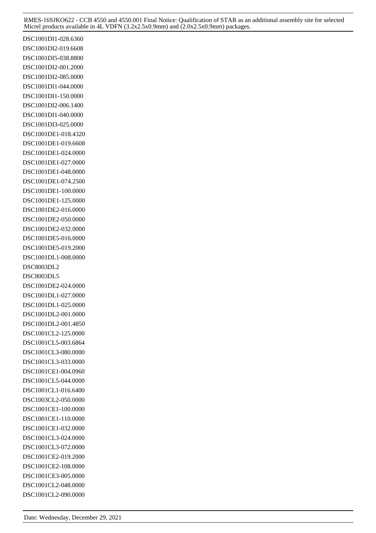DSC1001DI1-028.6360 DSC1001DI2-019.6608 DSC1001DI5-038.8800 DSC1001DI2-001.2000 DSC1001DI2-085.0000 DSC1001DI1-044.0000 DSC1001DI1-150.0000 DSC1001DI2-006.1400 DSC1001DI1-040.0000 DSC1001DI3-025.0000 DSC1001DE1-018.4320 DSC1001DE1-019.6608 DSC1001DE1-024.0000 DSC1001DE1-027.0000 DSC1001DE1-048.0000 DSC1001DE1-074.2500 DSC1001DE1-100.0000 DSC1001DE1-125.0000 DSC1001DE2-016.0000 DSC1001DE2-050.0000 DSC1001DE2-032.0000 DSC1001DE5-016.0000 DSC1001DE5-019.2000 DSC1001DL1-008.0000 DSC8003DL2 DSC8003DL5 DSC1001DE2-024.0000 DSC1001DL1-027.0000 DSC1001DL1-025.0000 DSC1001DL2-001.0000 DSC1001DL2-001.4850 DSC1001CL2-125.0000 DSC1001CL5-003.6864 DSC1001CL3-080.0000 DSC1001CL3-033.0000 DSC1001CE1-004.0960 DSC1001CL5-044.0000 DSC1001CL1-016.6400 DSC1003CL2-050.0000 DSC1001CE1-100.0000 DSC1001CE1-110.0000 DSC1001CE1-032.0000 DSC1001CL3-024.0000 DSC1001CL3-072.0000 DSC1001CE2-019.2000 DSC1001CE2-108.0000 DSC1001CE3-005.0000 DSC1001CL2-048.0000 DSC1001CL2-090.0000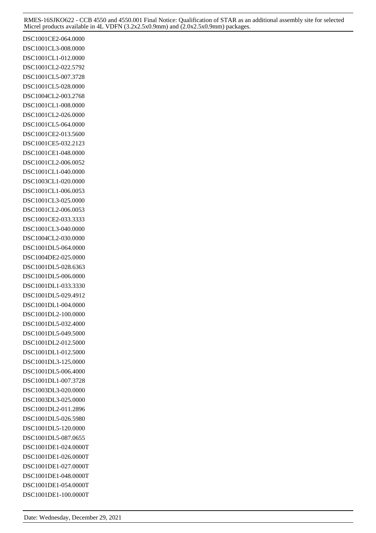DSC1001CE2-064.0000 DSC1001CL3-008.0000 DSC1001CL1-012.0000 DSC1001CL2-022.5792 DSC1001CL5-007.3728 DSC1001CL5-028.0000 DSC1004CL2-003.2768 DSC1001CL1-008.0000 DSC1001CL2-026.0000 DSC1001CL5-064.0000 DSC1001CE2-013.5600 DSC1001CE5-032.2123 DSC1001CE1-048.0000 DSC1001CL2-006.0052 DSC1001CL1-040.0000 DSC1003CL1-020.0000 DSC1001CL1-006.0053 DSC1001CL3-025.0000 DSC1001CL2-006.0053 DSC1001CE2-033.3333 DSC1001CL3-040.0000 DSC1004CL2-030.0000 DSC1001DL5-064.0000 DSC1004DE2-025.0000 DSC1001DL5-028.6363 DSC1001DL5-006.0000 DSC1001DL1-033.3330 DSC1001DL5-029.4912 DSC1001DL1-004.0000 DSC1001DL2-100.0000 DSC1001DL5-032.4000 DSC1001DL5-049.5000 DSC1001DL2-012.5000 DSC1001DL1-012.5000 DSC1001DL3-125.0000 DSC1001DL5-006.4000 DSC1001DL1-007.3728 DSC1003DL3-020.0000 DSC1003DL3-025.0000 DSC1001DL2-011.2896 DSC1001DL5-026.5980 DSC1001DL5-120.0000 DSC1001DL5-087.0655 DSC1001DE1-024.0000T DSC1001DE1-026.0000T DSC1001DE1-027.0000T DSC1001DE1-048.0000T DSC1001DE1-054.0000T DSC1001DE1-100.0000T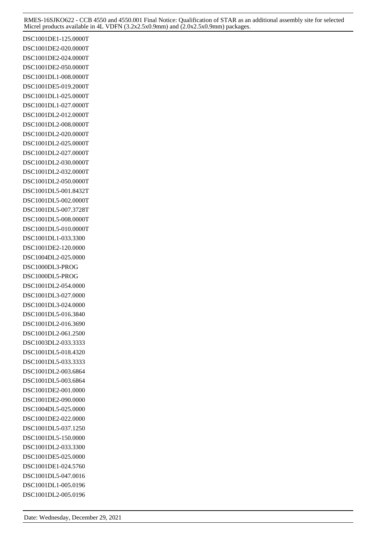DSC1001DE1-125.0000T DSC1001DE2-020.0000T DSC1001DE2-024.0000T DSC1001DE2-050.0000T DSC1001DL1-008.0000T DSC1001DE5-019.2000T DSC1001DL1-025.0000T DSC1001DL1-027.0000T DSC1001DL2-012.0000T DSC1001DL2-008.0000T DSC1001DL2-020.0000T DSC1001DL2-025.0000T DSC1001DL2-027.0000T DSC1001DL2-030.0000T DSC1001DL2-032.0000T DSC1001DL2-050.0000T DSC1001DL5-001.8432T DSC1001DL5-002.0000T DSC1001DL5-007.3728T DSC1001DL5-008.0000T DSC1001DL5-010.0000T DSC1001DL1-033.3300 DSC1001DE2-120.0000 DSC1004DL2-025.0000 DSC1000DL3-PROG DSC1000DL5-PROG DSC1001DL2-054.0000 DSC1001DL3-027.0000 DSC1001DL3-024.0000 DSC1001DL5-016.3840 DSC1001DL2-016.3690 DSC1001DL2-061.2500 DSC1003DL2-033.3333 DSC1001DL5-018.4320 DSC1001DL5-033.3333 DSC1001DL2-003.6864 DSC1001DL5-003.6864 DSC1001DE2-001.0000 DSC1001DE2-090.0000 DSC1004DL5-025.0000 DSC1001DE2-022.0000 DSC1001DL5-037.1250 DSC1001DL5-150.0000 DSC1001DL2-033.3300 DSC1001DE5-025.0000 DSC1001DE1-024.5760 DSC1001DL5-047.0016 DSC1001DL1-005.0196 DSC1001DL2-005.0196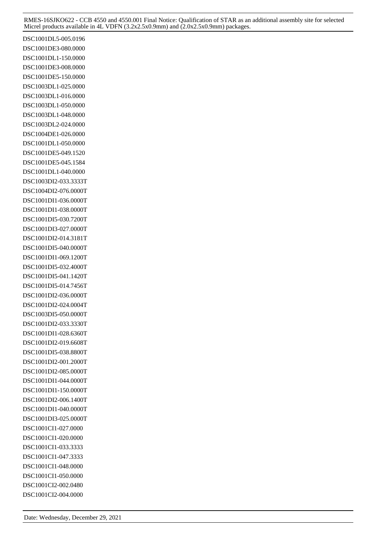DSC1001DL5-005.0196 DSC1001DE3-080.0000 DSC1001DL1-150.0000 DSC1001DE3-008.0000 DSC1001DE5-150.0000 DSC1003DL1-025.0000 DSC1003DL1-016.0000 DSC1003DL1-050.0000 DSC1003DL1-048.0000 DSC1003DL2-024.0000 DSC1004DE1-026.0000 DSC1001DL1-050.0000 DSC1001DE5-049.1520 DSC1001DE5-045.1584 DSC1001DL1-040.0000 DSC1003DI2-033.3333T DSC1004DI2-076.0000T DSC1001DI1-036.0000T DSC1001DI1-038.0000T DSC1001DI5-030.7200T DSC1001DI3-027.0000T DSC1001DI2-014.3181T DSC1001DI5-040.0000T DSC1001DI1-069.1200T DSC1001DI5-032.4000T DSC1001DI5-041.1420T DSC1001DI5-014.7456T DSC1001DI2-036.0000T DSC1001DI2-024.0004T DSC1003DI5-050.0000T DSC1001DI2-033.3330T DSC1001DI1-028.6360T DSC1001DI2-019.6608T DSC1001DI5-038.8800T DSC1001DI2-001.2000T DSC1001DI2-085.0000T DSC1001DI1-044.0000T DSC1001DI1-150.0000T DSC1001DI2-006.1400T DSC1001DI1-040.0000T DSC1001DI3-025.0000T DSC1001CI1-027.0000 DSC1001CI1-020.0000 DSC1001CI1-033.3333 DSC1001CI1-047.3333 DSC1001CI1-048.0000 DSC1001CI1-050.0000 DSC1001CI2-002.0480 DSC1001CI2-004.0000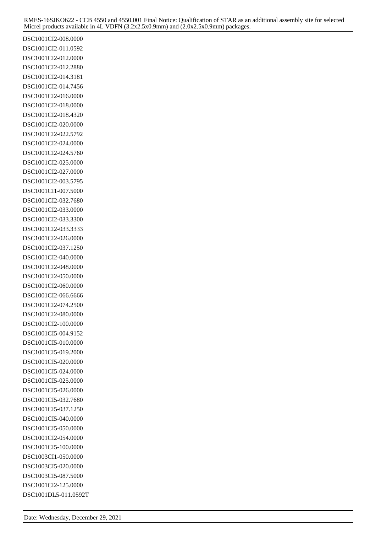DSC1001CI2-008.0000 DSC1001CI2-011.0592 DSC1001CI2-012.0000 DSC1001CI2-012.2880 DSC1001CI2-014.3181 DSC1001CI2-014.7456 DSC1001CI2-016.0000 DSC1001CI2-018.0000 DSC1001CI2-018.4320 DSC1001CI2-020.0000 DSC1001CI2-022.5792 DSC1001CI2-024.0000 DSC1001CI2-024.5760 DSC1001CI2-025.0000 DSC1001CI2-027.0000 DSC1001CI2-003.5795 DSC1001CI1-007.5000 DSC1001CI2-032.7680 DSC1001CI2-033.0000 DSC1001CI2-033.3300 DSC1001CI2-033.3333 DSC1001CI2-026.0000 DSC1001CI2-037.1250 DSC1001CI2-040.0000 DSC1001CI2-048.0000 DSC1001CI2-050.0000 DSC1001CI2-060.0000 DSC1001CI2-066.6666 DSC1001CI2-074.2500 DSC1001CI2-080.0000 DSC1001CI2-100.0000 DSC1001CI5-004.9152 DSC1001CI5-010.0000 DSC1001CI5-019.2000 DSC1001CI5-020.0000 DSC1001CI5-024.0000 DSC1001CI5-025.0000 DSC1001CI5-026.0000 DSC1001CI5-032.7680 DSC1001CI5-037.1250 DSC1001CI5-040.0000 DSC1001CI5-050.0000 DSC1001CI2-054.0000 DSC1001CI5-100.0000 DSC1003CI1-050.0000 DSC1003CI5-020.0000 DSC1003CI5-087.5000 DSC1001CI2-125.0000 DSC1001DL5-011.0592T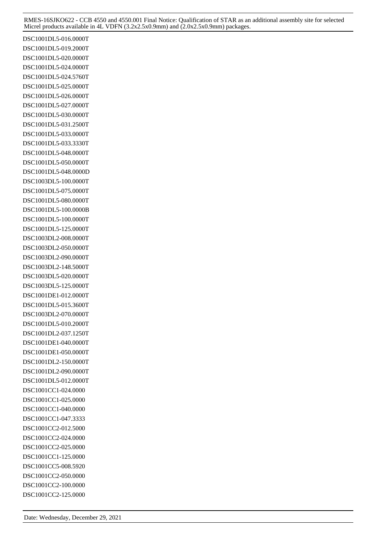DSC1001DL5-016.0000T DSC1001DL5-019.2000T DSC1001DL5-020.0000T DSC1001DL5-024.0000T DSC1001DL5-024.5760T DSC1001DL5-025.0000T DSC1001DL5-026.0000T DSC1001DL5-027.0000T DSC1001DL5-030.0000T DSC1001DL5-031.2500T DSC1001DL5-033.0000T DSC1001DL5-033.3330T DSC1001DL5-048.0000T DSC1001DL5-050.0000T DSC1001DL5-048.0000D DSC1003DL5-100.0000T DSC1001DL5-075.0000T DSC1001DL5-080.0000T DSC1001DL5-100.0000B DSC1001DL5-100.0000T DSC1001DL5-125.0000T DSC1003DL2-008.0000T DSC1003DL2-050.0000T DSC1003DL2-090.0000T DSC1003DL2-148.5000T DSC1003DL5-020.0000T DSC1003DL5-125.0000T DSC1001DE1-012.0000T DSC1001DL5-015.3600T DSC1003DL2-070.0000T DSC1001DL5-010.2000T DSC1001DL2-037.1250T DSC1001DE1-040.0000T DSC1001DE1-050.0000T DSC1001DL2-150.0000T DSC1001DL2-090.0000T DSC1001DL5-012.0000T DSC1001CC1-024.0000 DSC1001CC1-025.0000 DSC1001CC1-040.0000 DSC1001CC1-047.3333 DSC1001CC2-012.5000 DSC1001CC2-024.0000 DSC1001CC2-025.0000 DSC1001CC1-125.0000 DSC1001CC5-008.5920 DSC1001CC2-050.0000 DSC1001CC2-100.0000 DSC1001CC2-125.0000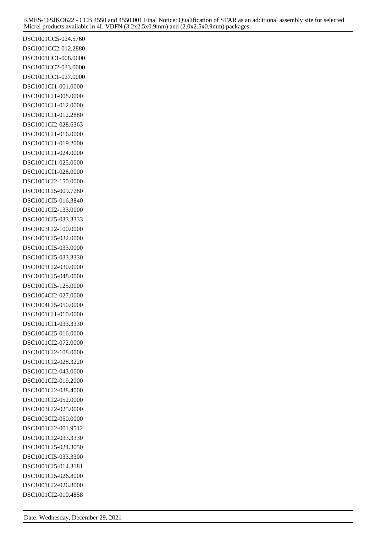DSC1001CC5-024.5760 DSC1001CC2-012.2880 DSC1001CC1-008.0000 DSC1001CC2-033.0000 DSC1001CC1-027.0000 DSC1001CI1-001.0000 DSC1001CI1-008.0000 DSC1001CI1-012.0000 DSC1001CI1-012.2880 DSC1001CI2-028.6363 DSC1001CI1-016.0000 DSC1001CI1-019.2000 DSC1001CI1-024.0000 DSC1001CI1-025.0000 DSC1001CI1-026.0000 DSC1001CI2-150.0000 DSC1001CI5-009.7280 DSC1001CI5-016.3840 DSC1001CI2-133.0000 DSC1001CI5-033.3333 DSC1003CI2-100.0000 DSC1001CI5-032.0000 DSC1001CI5-033.0000 DSC1001CI5-033.3330 DSC1001CI2-030.0000 DSC1001CI5-048.0000 DSC1001CI5-125.0000 DSC1004CI2-027.0000 DSC1004CI5-050.0000 DSC1001CI1-010.0000 DSC1001CI1-033.3330 DSC1004CI5-016.0000 DSC1001CI2-072.0000 DSC1001CI2-108.0000 DSC1001CI2-028.3220 DSC1001CI2-043.0000 DSC1001CI2-019.2000 DSC1001CI2-038.4000 DSC1001CI2-052.0000 DSC1003CI2-025.0000 DSC1003CI2-050.0000 DSC1001CI2-001.9512 DSC1001CI2-033.3330 DSC1001CI5-024.3050 DSC1001CI5-033.3300 DSC1001CI5-014.3181 DSC1001CI5-026.8000 DSC1001CI2-026.8000 DSC1001CI2-010.4858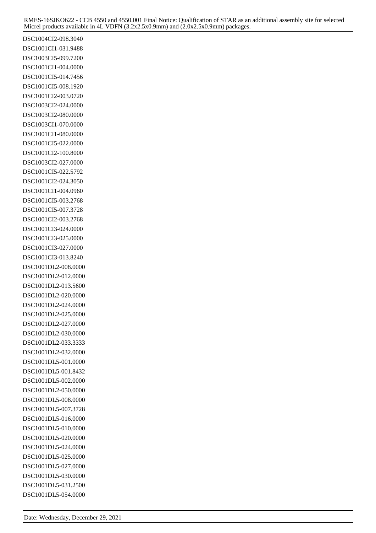DSC1004CI2-098.3040 DSC1001CI1-031.9488 DSC1003CI5-099.7200 DSC1001CI1-004.0000 DSC1001CI5-014.7456 DSC1001CI5-008.1920 DSC1001CI2-003.0720 DSC1003CI2-024.0000 DSC1003CI2-080.0000 DSC1003CI1-070.0000 DSC1001CI1-080.0000 DSC1001CI5-022.0000 DSC1001CI2-100.8000 DSC1003CI2-027.0000 DSC1001CI5-022.5792 DSC1001CI2-024.3050 DSC1001CI1-004.0960 DSC1001CI5-003.2768 DSC1001CI5-007.3728 DSC1001CI2-003.2768 DSC1001CI3-024.0000 DSC1001CI3-025.0000 DSC1001CI3-027.0000 DSC1001CI3-013.8240 DSC1001DL2-008.0000 DSC1001DL2-012.0000 DSC1001DL2-013.5600 DSC1001DL2-020.0000 DSC1001DL2-024.0000 DSC1001DL2-025.0000 DSC1001DL2-027.0000 DSC1001DL2-030.0000 DSC1001DL2-033.3333 DSC1001DL2-032.0000 DSC1001DL5-001.0000 DSC1001DL5-001.8432 DSC1001DL5-002.0000 DSC1001DL2-050.0000 DSC1001DL5-008.0000 DSC1001DL5-007.3728 DSC1001DL5-016.0000 DSC1001DL5-010.0000 DSC1001DL5-020.0000 DSC1001DL5-024.0000 DSC1001DL5-025.0000 DSC1001DL5-027.0000 DSC1001DL5-030.0000 DSC1001DL5-031.2500 DSC1001DL5-054.0000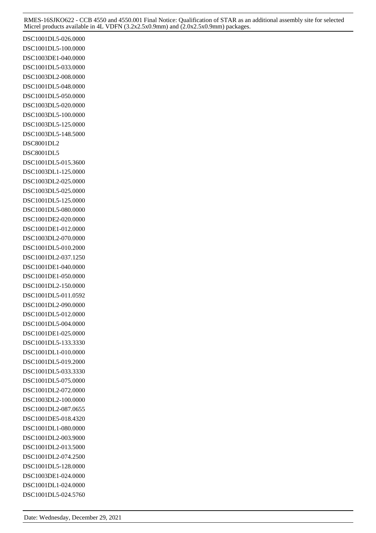DSC1001DL5-026.0000 DSC1001DL5-100.0000 DSC1003DE1-040.0000 DSC1001DL5-033.0000 DSC1003DL2-008.0000 DSC1001DL5-048.0000 DSC1001DL5-050.0000 DSC1003DL5-020.0000 DSC1003DL5-100.0000 DSC1003DL5-125.0000 DSC1003DL5-148.5000 DSC8001DL2 DSC8001DL5 DSC1001DL5-015.3600 DSC1003DL1-125.0000 DSC1003DL2-025.0000 DSC1003DL5-025.0000 DSC1001DL5-125.0000 DSC1001DL5-080.0000 DSC1001DE2-020.0000 DSC1001DE1-012.0000 DSC1003DL2-070.0000 DSC1001DL5-010.2000 DSC1001DL2-037.1250 DSC1001DE1-040.0000 DSC1001DE1-050.0000 DSC1001DL2-150.0000 DSC1001DL5-011.0592 DSC1001DL2-090.0000 DSC1001DL5-012.0000 DSC1001DL5-004.0000 DSC1001DE1-025.0000 DSC1001DL5-133.3330 DSC1001DL1-010.0000 DSC1001DL5-019.2000 DSC1001DL5-033.3330 DSC1001DL5-075.0000 DSC1001DL2-072.0000 DSC1003DL2-100.0000 DSC1001DL2-087.0655 DSC1001DE5-018.4320 DSC1001DL1-080.0000 DSC1001DL2-003.9000 DSC1001DL2-013.5000 DSC1001DL2-074.2500 DSC1001DL5-128.0000 DSC1003DE1-024.0000 DSC1001DL1-024.0000 DSC1001DL5-024.5760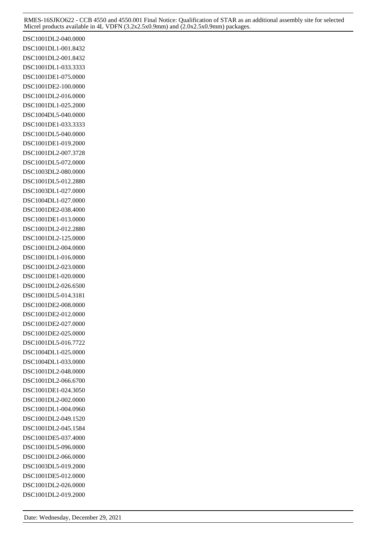DSC1001DL2-040.0000 DSC1001DL1-001.8432 DSC1001DL2-001.8432 DSC1001DL1-033.3333 DSC1001DE1-075.0000 DSC1001DE2-100.0000 DSC1001DL2-016.0000 DSC1001DL1-025.2000 DSC1004DL5-040.0000 DSC1001DE1-033.3333 DSC1001DL5-040.0000 DSC1001DE1-019.2000 DSC1001DL2-007.3728 DSC1001DL5-072.0000 DSC1003DL2-080.0000 DSC1001DL5-012.2880 DSC1003DL1-027.0000 DSC1004DL1-027.0000 DSC1001DE2-038.4000 DSC1001DE1-013.0000 DSC1001DL2-012.2880 DSC1001DL2-125.0000 DSC1001DL2-004.0000 DSC1001DL1-016.0000 DSC1001DL2-023.0000 DSC1001DE1-020.0000 DSC1001DL2-026.6500 DSC1001DL5-014.3181 DSC1001DE2-008.0000 DSC1001DE2-012.0000 DSC1001DE2-027.0000 DSC1001DE2-025.0000 DSC1001DL5-016.7722 DSC1004DL1-025.0000 DSC1004DL1-033.0000 DSC1001DL2-048.0000 DSC1001DL2-066.6700 DSC1001DE1-024.3050 DSC1001DL2-002.0000 DSC1001DL1-004.0960 DSC1001DL2-049.1520 DSC1001DL2-045.1584 DSC1001DE5-037.4000 DSC1001DL5-096.0000 DSC1001DL2-066.0000 DSC1003DL5-019.2000 DSC1001DE5-012.0000 DSC1001DL2-026.0000 DSC1001DL2-019.2000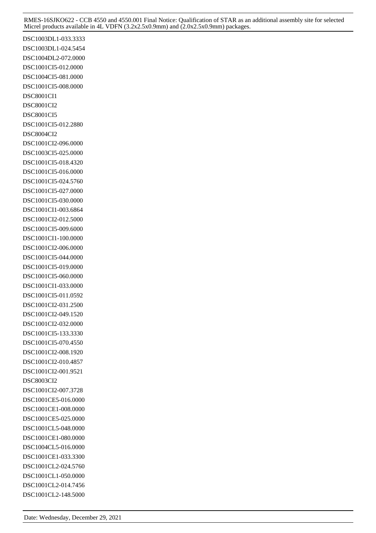DSC1003DL1-033.3333 DSC1003DL1-024.5454 DSC1004DL2-072.0000 DSC1001CI5-012.0000 DSC1004CI5-081.0000 DSC1001CI5-008.0000 DSC8001CI1 DSC8001CI2 DSC8001CI5 DSC1001CI5-012.2880 DSC8004CI2 DSC1001CI2-096.0000 DSC1003CI5-025.0000 DSC1001CI5-018.4320 DSC1001CI5-016.0000 DSC1001CI5-024.5760 DSC1001CI5-027.0000 DSC1001CI5-030.0000 DSC1001CI1-003.6864 DSC1001CI2-012.5000 DSC1001CI5-009.6000 DSC1001CI1-100.0000 DSC1001CI2-006.0000 DSC1001CI5-044.0000 DSC1001CI5-019.0000 DSC1001CI5-060.0000 DSC1001CI1-033.0000 DSC1001CI5-011.0592 DSC1001CI2-031.2500 DSC1001CI2-049.1520 DSC1001CI2-032.0000 DSC1001CI5-133.3330 DSC1001CI5-070.4550 DSC1001CI2-008.1920 DSC1001CI2-010.4857 DSC1001CI2-001.9521 DSC8003CI2 DSC1001CI2-007.3728 DSC1001CE5-016.0000 DSC1001CE1-008.0000 DSC1001CE5-025.0000 DSC1001CL5-048.0000 DSC1001CE1-080.0000 DSC1004CL5-016.0000 DSC1001CE1-033.3300 DSC1001CL2-024.5760 DSC1001CL1-050.0000 DSC1001CL2-014.7456 DSC1001CL2-148.5000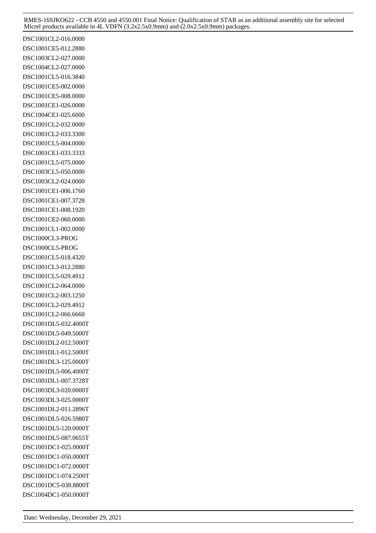DSC1001CL2-016.0000 DSC1001CE5-012.2880 DSC1003CL2-027.0000 DSC1004CL2-027.0000 DSC1001CL5-016.3840 DSC1001CE5-002.0000 DSC1001CE5-008.0000 DSC1001CE1-026.0000 DSC1004CE1-025.6000 DSC1001CL2-032.0000 DSC1001CL2-033.3300 DSC1001CL5-004.0000 DSC1001CE1-033.3333 DSC1001CL5-075.0000 DSC1003CL5-050.0000 DSC1003CL2-024.0000 DSC1001CE1-006.1760 DSC1001CE1-007.3728 DSC1001CE1-008.1920 DSC1001CE2-060.0000 DSC1001CL1-002.0000 DSC1000CL3-PROG DSC1000CL5-PROG DSC1001CL5-018.4320 DSC1001CL3-012.2880 DSC1001CL5-029.4912 DSC1001CL2-064.0000 DSC1001CL2-003.1250 DSC1001CL2-029.4912 DSC1001CL2-066.6660 DSC1001DL5-032.4000T DSC1001DL5-049.5000T DSC1001DL2-012.5000T DSC1001DL1-012.5000T DSC1001DL3-125.0000T DSC1001DL5-006.4000T DSC1001DL1-007.3728T DSC1003DL3-020.0000T DSC1003DL3-025.0000T DSC1001DL2-011.2896T DSC1001DL5-026.5980T DSC1001DL5-120.0000T DSC1001DL5-087.0655T DSC1001DC1-025.0000T DSC1001DC1-050.0000T DSC1001DC1-072.0000T DSC1001DC1-074.2500T DSC1001DC5-038.8800T DSC1004DC1-050.0000T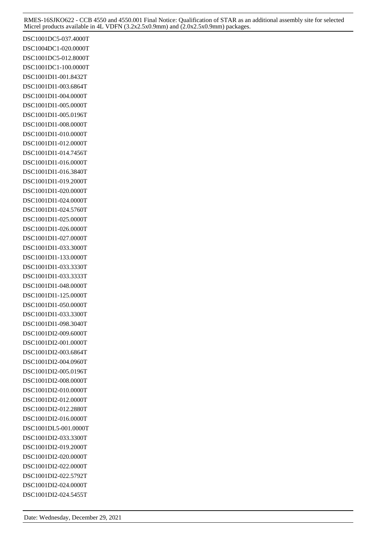DSC1001DC5-037.4000T DSC1004DC1-020.0000T DSC1001DC5-012.8000T DSC1001DC1-100.0000T DSC1001DI1-001.8432T DSC1001DI1-003.6864T DSC1001DI1-004.0000T DSC1001DI1-005.0000T DSC1001DI1-005.0196T DSC1001DI1-008.0000T DSC1001DI1-010.0000T DSC1001DI1-012.0000T DSC1001DI1-014.7456T DSC1001DI1-016.0000T DSC1001DI1-016.3840T DSC1001DI1-019.2000T DSC1001DI1-020.0000T DSC1001DI1-024.0000T DSC1001DI1-024.5760T DSC1001DI1-025.0000T DSC1001DI1-026.0000T DSC1001DI1-027.0000T DSC1001DI1-033.3000T DSC1001DI1-133.0000T DSC1001DI1-033.3330T DSC1001DI1-033.3333T DSC1001DI1-048.0000T DSC1001DI1-125.0000T DSC1001DI1-050.0000T DSC1001DI1-033.3300T DSC1001DI1-098.3040T DSC1001DI2-009.6000T DSC1001DI2-001.0000T DSC1001DI2-003.6864T DSC1001DI2-004.0960T DSC1001DI2-005.0196T DSC1001DI2-008.0000T DSC1001DI2-010.0000T DSC1001DI2-012.0000T DSC1001DI2-012.2880T DSC1001DI2-016.0000T DSC1001DL5-001.0000T DSC1001DI2-033.3300T DSC1001DI2-019.2000T DSC1001DI2-020.0000T DSC1001DI2-022.0000T DSC1001DI2-022.5792T DSC1001DI2-024.0000T DSC1001DI2-024.5455T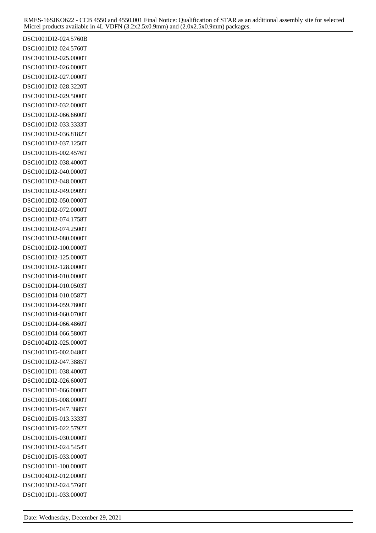DSC1001DI2-024.5760B DSC1001DI2-024.5760T DSC1001DI2-025.0000T DSC1001DI2-026.0000T DSC1001DI2-027.0000T DSC1001DI2-028.3220T DSC1001DI2-029.5000T DSC1001DI2-032.0000T DSC1001DI2-066.6600T DSC1001DI2-033.3333T DSC1001DI2-036.8182T DSC1001DI2-037.1250T DSC1001DI5-002.4576T DSC1001DI2-038.4000T DSC1001DI2-040.0000T DSC1001DI2-048.0000T DSC1001DI2-049.0909T DSC1001DI2-050.0000T DSC1001DI2-072.0000T DSC1001DI2-074.1758T DSC1001DI2-074.2500T DSC1001DI2-080.0000T DSC1001DI2-100.0000T DSC1001DI2-125.0000T DSC1001DI2-128.0000T DSC1001DI4-010.0000T DSC1001DI4-010.0503T DSC1001DI4-010.0587T DSC1001DI4-059.7800T DSC1001DI4-060.0700T DSC1001DI4-066.4860T DSC1001DI4-066.5800T DSC1004DI2-025.0000T DSC1001DI5-002.0480T DSC1001DI2-047.3885T DSC1001DI1-038.4000T DSC1001DI2-026.6000T DSC1001DI1-066.0000T DSC1001DI5-008.0000T DSC1001DI5-047.3885T DSC1001DI5-013.3333T DSC1001DI5-022.5792T DSC1001DI5-030.0000T DSC1001DI2-024.5454T DSC1001DI5-033.0000T DSC1001DI1-100.0000T DSC1004DI2-012.0000T DSC1003DI2-024.5760T DSC1001DI1-033.0000T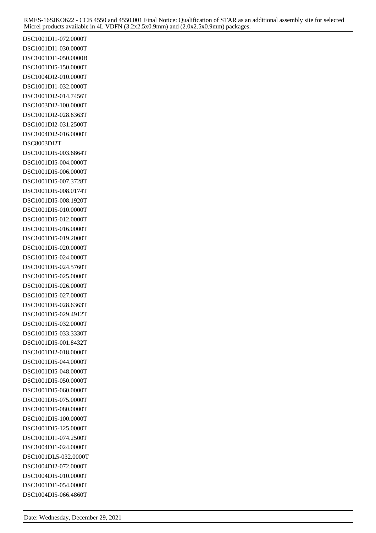DSC1001DI1-072.0000T DSC1001DI1-030.0000T DSC1001DI1-050.0000B DSC1001DI5-150.0000T DSC1004DI2-010.0000T DSC1001DI1-032.0000T DSC1001DI2-014.7456T DSC1003DI2-100.0000T DSC1001DI2-028.6363T DSC1001DI2-031.2500T DSC1004DI2-016.0000T DSC8003DI2T DSC1001DI5-003.6864T DSC1001DI5-004.0000T DSC1001DI5-006.0000T DSC1001DI5-007.3728T DSC1001DI5-008.0174T DSC1001DI5-008.1920T DSC1001DI5-010.0000T DSC1001DI5-012.0000T DSC1001DI5-016.0000T DSC1001DI5-019.2000T DSC1001DI5-020.0000T DSC1001DI5-024.0000T DSC1001DI5-024.5760T DSC1001DI5-025.0000T DSC1001DI5-026.0000T DSC1001DI5-027.0000T DSC1001DI5-028.6363T DSC1001DI5-029.4912T DSC1001DI5-032.0000T DSC1001DI5-033.3330T DSC1001DI5-001.8432T DSC1001DI2-018.0000T DSC1001DI5-044.0000T DSC1001DI5-048.0000T DSC1001DI5-050.0000T DSC1001DI5-060.0000T DSC1001DI5-075.0000T DSC1001DI5-080.0000T DSC1001DI5-100.0000T DSC1001DI5-125.0000T DSC1001DI1-074.2500T DSC1004DI1-024.0000T DSC1001DL5-032.0000T DSC1004DI2-072.0000T DSC1004DI5-010.0000T DSC1001DI1-054.0000T DSC1004DI5-066.4860T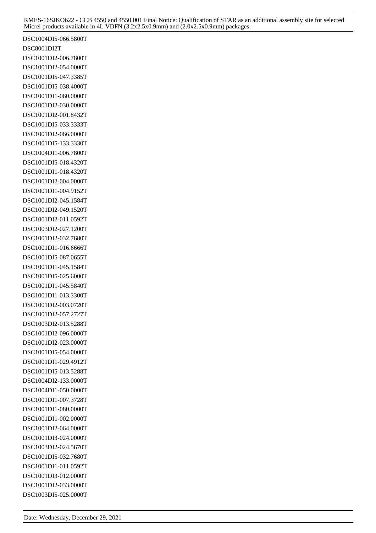DSC1004DI5-066.5800T DSC8001DI2T DSC1001DI2-006.7800T DSC1001DI2-054.0000T DSC1001DI5-047.3385T DSC1001DI5-038.4000T DSC1001DI1-060.0000T DSC1001DI2-030.0000T DSC1001DI2-001.8432T DSC1001DI5-033.3333T DSC1001DI2-066.0000T DSC1001DI5-133.3330T DSC1004DI1-006.7800T DSC1001DI5-018.4320T DSC1001DI1-018.4320T DSC1001DI2-004.0000T DSC1001DI1-004.9152T DSC1001DI2-045.1584T DSC1001DI2-049.1520T DSC1001DI2-011.0592T DSC1003DI2-027.1200T DSC1001DI2-032.7680T DSC1001DI1-016.6666T DSC1001DI5-087.0655T DSC1001DI1-045.1584T DSC1001DI5-025.6000T DSC1001DI1-045.5840T DSC1001DI1-013.3300T DSC1001DI2-003.0720T DSC1001DI2-057.2727T DSC1003DI2-013.5288T DSC1001DI2-096.0000T DSC1001DI2-023.0000T DSC1001DI5-054.0000T DSC1001DI1-029.4912T DSC1001DI5-013.5288T DSC1004DI2-133.0000T DSC1004DI1-050.0000T DSC1001DI1-007.3728T DSC1001DI1-080.0000T DSC1001DI1-002.0000T DSC1001DI2-064.0000T DSC1001DI3-024.0000T DSC1003DI2-024.5670T DSC1001DI5-032.7680T DSC1001DI1-011.0592T DSC1001DI3-012.0000T DSC1001DI2-033.0000T DSC1003DI5-025.0000T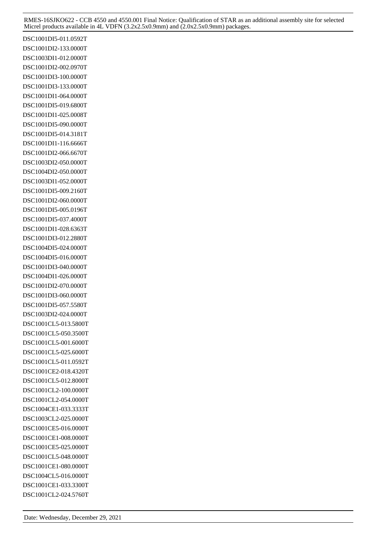DSC1001DI5-011.0592T DSC1001DI2-133.0000T DSC1003DI1-012.0000T DSC1001DI2-002.0970T DSC1001DI3-100.0000T DSC1001DI3-133.0000T DSC1001DI1-064.0000T DSC1001DI5-019.6800T DSC1001DI1-025.0008T DSC1001DI5-090.0000T DSC1001DI5-014.3181T DSC1001DI1-116.6666T DSC1001DI2-066.6670T DSC1003DI2-050.0000T DSC1004DI2-050.0000T DSC1003DI1-052.0000T DSC1001DI5-009.2160T DSC1001DI2-060.0000T DSC1001DI5-005.0196T DSC1001DI5-037.4000T DSC1001DI1-028.6363T DSC1001DI3-012.2880T DSC1004DI5-024.0000T DSC1004DI5-016.0000T DSC1001DI3-040.0000T DSC1004DI1-026.0000T DSC1001DI2-070.0000T DSC1001DI3-060.0000T DSC1001DI5-057.5580T DSC1003DI2-024.0000T DSC1001CL5-013.5800T DSC1001CL5-050.3500T DSC1001CL5-001.6000T DSC1001CL5-025.6000T DSC1001CL5-011.0592T DSC1001CE2-018.4320T DSC1001CL5-012.8000T DSC1001CL2-100.0000T DSC1001CL2-054.0000T DSC1004CE1-033.3333T DSC1003CL2-025.0000T DSC1001CE5-016.0000T DSC1001CE1-008.0000T DSC1001CE5-025.0000T DSC1001CL5-048.0000T DSC1001CE1-080.0000T DSC1004CL5-016.0000T DSC1001CE1-033.3300T DSC1001CL2-024.5760T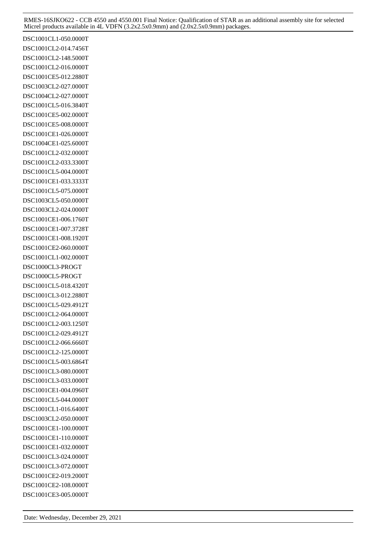DSC1001CL1-050.0000T DSC1001CL2-014.7456T DSC1001CL2-148.5000T DSC1001CL2-016.0000T DSC1001CE5-012.2880T DSC1003CL2-027.0000T DSC1004CL2-027.0000T DSC1001CL5-016.3840T DSC1001CE5-002.0000T DSC1001CE5-008.0000T DSC1001CE1-026.0000T DSC1004CE1-025.6000T DSC1001CL2-032.0000T DSC1001CL2-033.3300T DSC1001CL5-004.0000T DSC1001CE1-033.3333T DSC1001CL5-075.0000T DSC1003CL5-050.0000T DSC1003CL2-024.0000T DSC1001CE1-006.1760T DSC1001CE1-007.3728T DSC1001CE1-008.1920T DSC1001CE2-060.0000T DSC1001CL1-002.0000T DSC1000CL3-PROGT DSC1000CL5-PROGT DSC1001CL5-018.4320T DSC1001CL3-012.2880T DSC1001CL5-029.4912T DSC1001CL2-064.0000T DSC1001CL2-003.1250T DSC1001CL2-029.4912T DSC1001CL2-066.6660T DSC1001CL2-125.0000T DSC1001CL5-003.6864T DSC1001CL3-080.0000T DSC1001CL3-033.0000T DSC1001CE1-004.0960T DSC1001CL5-044.0000T DSC1001CL1-016.6400T DSC1003CL2-050.0000T DSC1001CE1-100.0000T DSC1001CE1-110.0000T DSC1001CE1-032.0000T DSC1001CL3-024.0000T DSC1001CL3-072.0000T DSC1001CE2-019.2000T DSC1001CE2-108.0000T DSC1001CE3-005.0000T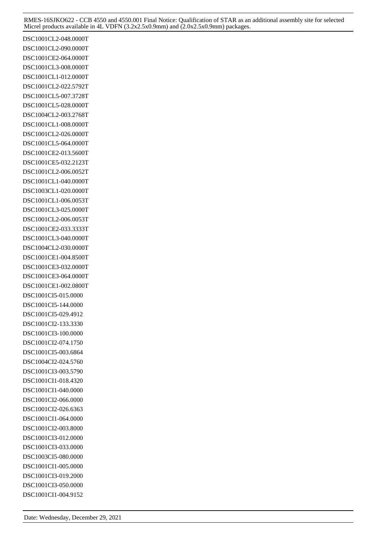DSC1001CL2-048.0000T DSC1001CL2-090.0000T DSC1001CE2-064.0000T DSC1001CL3-008.0000T DSC1001CL1-012.0000T DSC1001CL2-022.5792T DSC1001CL5-007.3728T DSC1001CL5-028.0000T DSC1004CL2-003.2768T DSC1001CL1-008.0000T DSC1001CL2-026.0000T DSC1001CL5-064.0000T DSC1001CE2-013.5600T DSC1001CE5-032.2123T DSC1001CL2-006.0052T DSC1001CL1-040.0000T DSC1003CL1-020.0000T DSC1001CL1-006.0053T DSC1001CL3-025.0000T DSC1001CL2-006.0053T DSC1001CE2-033.3333T DSC1001CL3-040.0000T DSC1004CL2-030.0000T DSC1001CE1-004.8500T DSC1001CE3-032.0000T DSC1001CE3-064.0000T DSC1001CE1-002.0800T DSC1001CI5-015.0000 DSC1001CI5-144.0000 DSC1001CI5-029.4912 DSC1001CI2-133.3330 DSC1001CI3-100.0000 DSC1001CI2-074.1750 DSC1001CI5-003.6864 DSC1004CI2-024.5760 DSC1001CI3-003.5790 DSC1001CI1-018.4320 DSC1001CI1-040.0000 DSC1001CI2-066.0000 DSC1001CI2-026.6363 DSC1001CI1-064.0000 DSC1001CI2-003.8000 DSC1001CI3-012.0000 DSC1001CI3-033.0000 DSC1003CI5-080.0000 DSC1001CI1-005.0000 DSC1001CI3-019.2000 DSC1001CI3-050.0000 DSC1001CI1-004.9152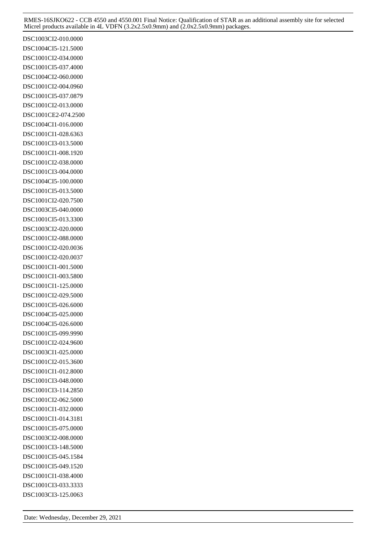DSC1003CI2-010.0000 DSC1004CI5-121.5000 DSC1001CI2-034.0000 DSC1001CI5-037.4000 DSC1004CI2-060.0000 DSC1001CI2-004.0960 DSC1001CI5-037.0879 DSC1001CI2-013.0000 DSC1001CE2-074.2500 DSC1004CI1-016.0000 DSC1001CI1-028.6363 DSC1001CI3-013.5000 DSC1001CI1-008.1920 DSC1001CI2-038.0000 DSC1001CI3-004.0000 DSC1004CI5-100.0000 DSC1001CI5-013.5000 DSC1001CI2-020.7500 DSC1003CI5-040.0000 DSC1001CI5-013.3300 DSC1003CI2-020.0000 DSC1001CI2-088.0000 DSC1001CI2-020.0036 DSC1001CI2-020.0037 DSC1001CI1-001.5000 DSC1001CI1-003.5800 DSC1001CI1-125.0000 DSC1001CI2-029.5000 DSC1001CI5-026.6000 DSC1004CI5-025.0000 DSC1004CI5-026.6000 DSC1001CI5-099.9990 DSC1001CI2-024.9600 DSC1003CI1-025.0000 DSC1001CI2-015.3600 DSC1001CI1-012.8000 DSC1001CI3-048.0000 DSC1001CI3-114.2850 DSC1001CI2-062.5000 DSC1001CI1-032.0000 DSC1001CI1-014.3181 DSC1001CI5-075.0000 DSC1003CI2-008.0000 DSC1001CI3-148.5000 DSC1001CI5-045.1584 DSC1001CI5-049.1520 DSC1001CI1-038.4000 DSC1001CI3-033.3333 DSC1003CI3-125.0063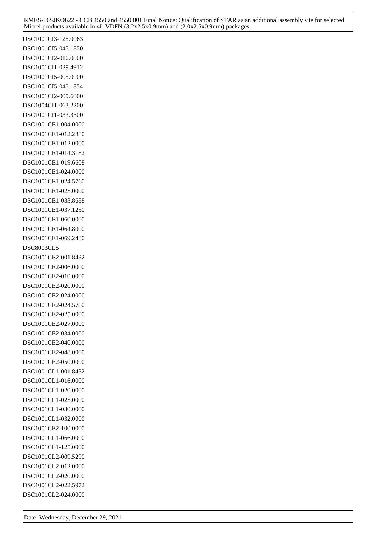DSC1001CI3-125.0063 DSC1001CI5-045.1850 DSC1001CI2-010.0000 DSC1001CI1-029.4912 DSC1001CI5-005.0000 DSC1001CI5-045.1854 DSC1001CI2-009.6000 DSC1004CI1-063.2200 DSC1001CI1-033.3300 DSC1001CE1-004.0000 DSC1001CE1-012.2880 DSC1001CE1-012.0000 DSC1001CE1-014.3182 DSC1001CE1-019.6608 DSC1001CE1-024.0000 DSC1001CE1-024.5760 DSC1001CE1-025.0000 DSC1001CE1-033.8688 DSC1001CE1-037.1250 DSC1001CE1-060.0000 DSC1001CE1-064.8000 DSC1001CE1-069.2480 DSC8003CL5 DSC1001CE2-001.8432 DSC1001CE2-006.0000 DSC1001CE2-010.0000 DSC1001CE2-020.0000 DSC1001CE2-024.0000 DSC1001CE2-024.5760 DSC1001CE2-025.0000 DSC1001CE2-027.0000 DSC1001CE2-034.0000 DSC1001CE2-040.0000 DSC1001CE2-048.0000 DSC1001CE2-050.0000 DSC1001CL1-001.8432 DSC1001CL1-016.0000 DSC1001CL1-020.0000 DSC1001CL1-025.0000 DSC1001CL1-030.0000 DSC1001CL1-032.0000 DSC1001CE2-100.0000 DSC1001CL1-066.0000 DSC1001CL1-125.0000 DSC1001CL2-009.5290 DSC1001CL2-012.0000 DSC1001CL2-020.0000 DSC1001CL2-022.5972 DSC1001CL2-024.0000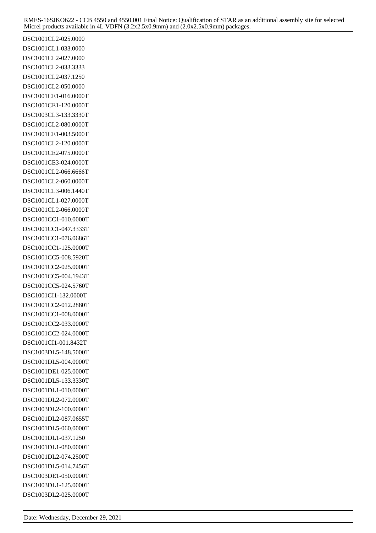DSC1001CL2-025.0000 DSC1001CL1-033.0000 DSC1001CL2-027.0000 DSC1001CL2-033.3333 DSC1001CL2-037.1250 DSC1001CL2-050.0000 DSC1001CE1-016.0000T DSC1001CE1-120.0000T DSC1003CL3-133.3330T DSC1001CL2-080.0000T DSC1001CE1-003.5000T DSC1001CL2-120.0000T DSC1001CE2-075.0000T DSC1001CE3-024.0000T DSC1001CL2-066.6666T DSC1001CL2-060.0000T DSC1001CL3-006.1440T DSC1001CL1-027.0000T DSC1001CL2-066.0000T DSC1001CC1-010.0000T DSC1001CC1-047.3333T DSC1001CC1-076.0686T DSC1001CC1-125.0000T DSC1001CC5-008.5920T DSC1001CC2-025.0000T DSC1001CC5-004.1943T DSC1001CC5-024.5760T DSC1001CI1-132.0000T DSC1001CC2-012.2880T DSC1001CC1-008.0000T DSC1001CC2-033.0000T DSC1001CC2-024.0000T DSC1001CI1-001.8432T DSC1003DL5-148.5000T DSC1001DL5-004.0000T DSC1001DE1-025.0000T DSC1001DL5-133.3330T DSC1001DL1-010.0000T DSC1001DL2-072.0000T DSC1003DL2-100.0000T DSC1001DL2-087.0655T DSC1001DL5-060.0000T DSC1001DL1-037.1250 DSC1001DL1-080.0000T DSC1001DL2-074.2500T DSC1001DL5-014.7456T DSC1003DE1-050.0000T DSC1003DL1-125.0000T DSC1003DL2-025.0000T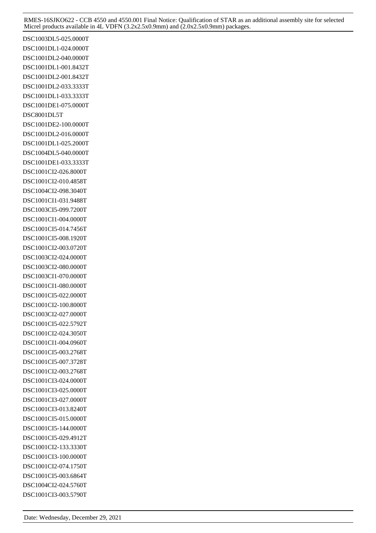DSC1003DL5-025.0000T DSC1001DL1-024.0000T DSC1001DL2-040.0000T DSC1001DL1-001.8432T DSC1001DL2-001.8432T DSC1001DL2-033.3333T DSC1001DL1-033.3333T DSC1001DE1-075.0000T DSC8001DL5T DSC1001DE2-100.0000T DSC1001DL2-016.0000T DSC1001DL1-025.2000T DSC1004DL5-040.0000T DSC1001DE1-033.3333T DSC1001CI2-026.8000T DSC1001CI2-010.4858T DSC1004CI2-098.3040T DSC1001CI1-031.9488T DSC1003CI5-099.7200T DSC1001CI1-004.0000T DSC1001CI5-014.7456T DSC1001CI5-008.1920T DSC1001CI2-003.0720T DSC1003CI2-024.0000T DSC1003CI2-080.0000T DSC1003CI1-070.0000T DSC1001CI1-080.0000T DSC1001CI5-022.0000T DSC1001CI2-100.8000T DSC1003CI2-027.0000T DSC1001CI5-022.5792T DSC1001CI2-024.3050T DSC1001CI1-004.0960T DSC1001CI5-003.2768T DSC1001CI5-007.3728T DSC1001CI2-003.2768T DSC1001CI3-024.0000T DSC1001CI3-025.0000T DSC1001CI3-027.0000T DSC1001CI3-013.8240T DSC1001CI5-015.0000T DSC1001CI5-144.0000T DSC1001CI5-029.4912T DSC1001CI2-133.3330T DSC1001CI3-100.0000T DSC1001CI2-074.1750T DSC1001CI5-003.6864T DSC1004CI2-024.5760T DSC1001CI3-003.5790T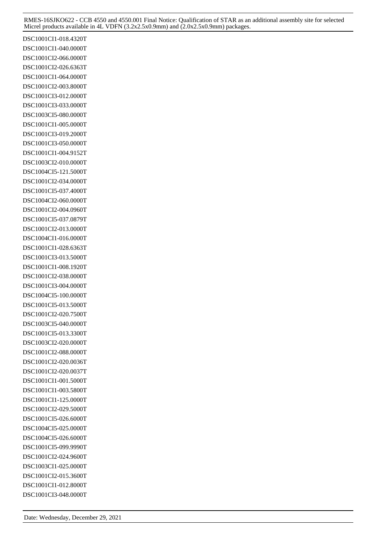DSC1001CI1-018.4320T DSC1001CI1-040.0000T DSC1001CI2-066.0000T DSC1001CI2-026.6363T DSC1001CI1-064.0000T DSC1001CI2-003.8000T DSC1001CI3-012.0000T DSC1001CI3-033.0000T DSC1003CI5-080.0000T DSC1001CI1-005.0000T DSC1001CI3-019.2000T DSC1001CI3-050.0000T DSC1001CI1-004.9152T DSC1003CI2-010.0000T DSC1004CI5-121.5000T DSC1001CI2-034.0000T DSC1001CI5-037.4000T DSC1004CI2-060.0000T DSC1001CI2-004.0960T DSC1001CI5-037.0879T DSC1001CI2-013.0000T DSC1004CI1-016.0000T DSC1001CI1-028.6363T DSC1001CI3-013.5000T DSC1001CI1-008.1920T DSC1001CI2-038.0000T DSC1001CI3-004.0000T DSC1004CI5-100.0000T DSC1001CI5-013.5000T DSC1001CI2-020.7500T DSC1003CI5-040.0000T DSC1001CI5-013.3300T DSC1003CI2-020.0000T DSC1001CI2-088.0000T DSC1001CI2-020.0036T DSC1001CI2-020.0037T DSC1001CI1-001.5000T DSC1001CI1-003.5800T DSC1001CI1-125.0000T DSC1001CI2-029.5000T DSC1001CI5-026.6000T DSC1004CI5-025.0000T DSC1004CI5-026.6000T DSC1001CI5-099.9990T DSC1001CI2-024.9600T DSC1003CI1-025.0000T DSC1001CI2-015.3600T DSC1001CI1-012.8000T DSC1001CI3-048.0000T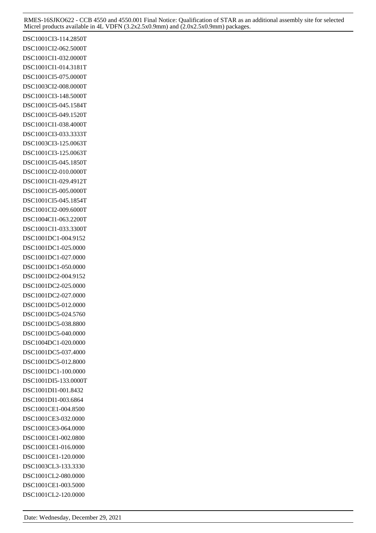DSC1001CI3-114.2850T DSC1001CI2-062.5000T DSC1001CI1-032.0000T DSC1001CI1-014.3181T DSC1001CI5-075.0000T DSC1003CI2-008.0000T DSC1001CI3-148.5000T DSC1001CI5-045.1584T DSC1001CI5-049.1520T DSC1001CI1-038.4000T DSC1001CI3-033.3333T DSC1003CI3-125.0063T DSC1001CI3-125.0063T DSC1001CI5-045.1850T DSC1001CI2-010.0000T DSC1001CI1-029.4912T DSC1001CI5-005.0000T DSC1001CI5-045.1854T DSC1001CI2-009.6000T DSC1004CI1-063.2200T DSC1001CI1-033.3300T DSC1001DC1-004.9152 DSC1001DC1-025.0000 DSC1001DC1-027.0000 DSC1001DC1-050.0000 DSC1001DC2-004.9152 DSC1001DC2-025.0000 DSC1001DC2-027.0000 DSC1001DC5-012.0000 DSC1001DC5-024.5760 DSC1001DC5-038.8800 DSC1001DC5-040.0000 DSC1004DC1-020.0000 DSC1001DC5-037.4000 DSC1001DC5-012.8000 DSC1001DC1-100.0000 DSC1001DI5-133.0000T DSC1001DI1-001.8432 DSC1001DI1-003.6864 DSC1001CE1-004.8500 DSC1001CE3-032.0000 DSC1001CE3-064.0000 DSC1001CE1-002.0800 DSC1001CE1-016.0000 DSC1001CE1-120.0000 DSC1003CL3-133.3330 DSC1001CL2-080.0000 DSC1001CE1-003.5000 DSC1001CL2-120.0000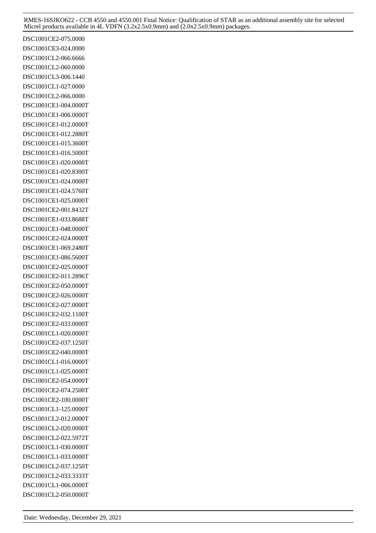DSC1001CE2-075.0000 DSC1001CE3-024.0000 DSC1001CL2-066.6666 DSC1001CL2-060.0000 DSC1001CL3-006.1440 DSC1001CL1-027.0000 DSC1001CL2-066.0000 DSC1001CE1-004.0000T DSC1001CE1-006.0000T DSC1001CE1-012.0000T DSC1001CE1-012.2880T DSC1001CE1-015.3600T DSC1001CE1-016.5000T DSC1001CE1-020.0000T DSC1001CE1-020.8300T DSC1001CE1-024.0000T DSC1001CE1-024.5760T DSC1001CE1-025.0000T DSC1001CE2-001.8432T DSC1001CE1-033.8688T DSC1001CE1-048.0000T DSC1001CE2-024.0000T DSC1001CE1-069.2480T DSC1001CE1-086.5600T DSC1001CE2-025.0000T DSC1001CE2-011.2896T DSC1001CE2-050.0000T DSC1001CE2-026.0000T DSC1001CE2-027.0000T DSC1001CE2-032.1100T DSC1001CE2-033.0000T DSC1001CL1-020.0000T DSC1001CE2-037.1250T DSC1001CE2-040.0000T DSC1001CL1-016.0000T DSC1001CL1-025.0000T DSC1001CE2-054.0000T DSC1001CE2-074.2500T DSC1001CE2-100.0000T DSC1001CL1-125.0000T DSC1001CL2-012.0000T DSC1001CL2-020.0000T DSC1001CL2-022.5972T DSC1001CL1-030.0000T DSC1001CL1-033.0000T DSC1001CL2-037.1250T DSC1001CL2-033.3333T DSC1001CL1-066.0000T DSC1001CL2-050.0000T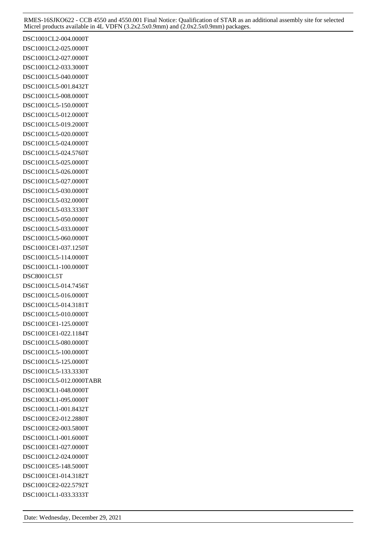DSC1001CL2-004.0000T DSC1001CL2-025.0000T DSC1001CL2-027.0000T DSC1001CL2-033.3000T DSC1001CL5-040.0000T DSC1001CL5-001.8432T DSC1001CL5-008.0000T DSC1001CL5-150.0000T DSC1001CL5-012.0000T DSC1001CL5-019.2000T DSC1001CL5-020.0000T DSC1001CL5-024.0000T DSC1001CL5-024.5760T DSC1001CL5-025.0000T DSC1001CL5-026.0000T DSC1001CL5-027.0000T DSC1001CL5-030.0000T DSC1001CL5-032.0000T DSC1001CL5-033.3330T DSC1001CL5-050.0000T DSC1001CL5-033.0000T DSC1001CL5-060.0000T DSC1001CE1-037.1250T DSC1001CL5-114.0000T DSC1001CL1-100.0000T DSC8001CL5T DSC1001CL5-014.7456T DSC1001CL5-016.0000T DSC1001CL5-014.3181T DSC1001CL5-010.0000T DSC1001CE1-125.0000T DSC1001CE1-022.1184T DSC1001CL5-080.0000T DSC1001CL5-100.0000T DSC1001CL5-125.0000T DSC1001CL5-133.3330T DSC1001CL5-012.0000TABR DSC1003CL1-048.0000T DSC1003CL1-095.0000T DSC1001CL1-001.8432T DSC1001CE2-012.2880T DSC1001CE2-003.5800T DSC1001CL1-001.6000T DSC1001CE1-027.0000T DSC1001CL2-024.0000T DSC1001CE5-148.5000T DSC1001CE1-014.3182T DSC1001CE2-022.5792T DSC1001CL1-033.3333T